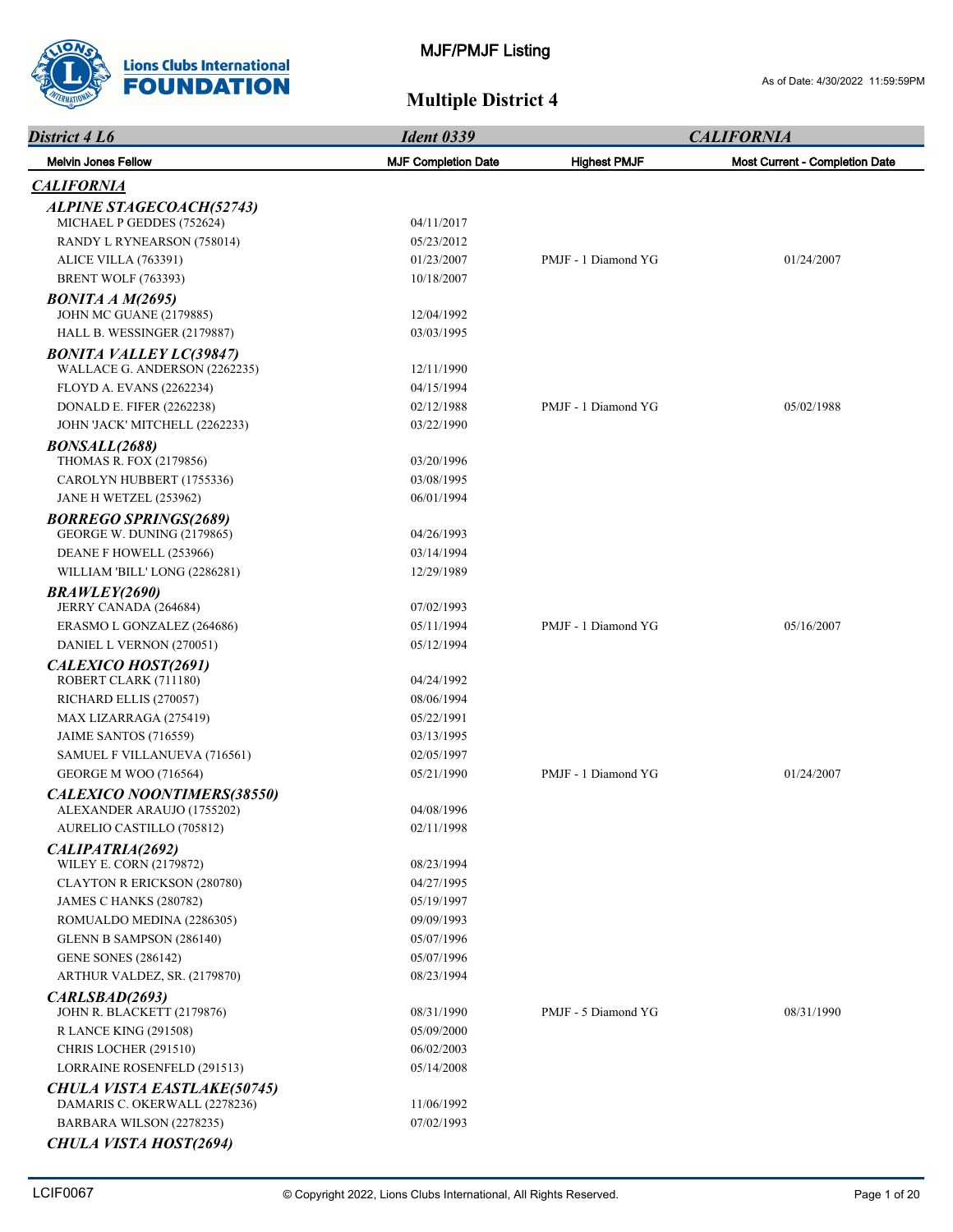

| District 4 L6<br><b>Melvin Jones Fellow</b>                       | <b>Ident 0339</b>          |                     | <b>CALIFORNIA</b>                     |  |
|-------------------------------------------------------------------|----------------------------|---------------------|---------------------------------------|--|
|                                                                   | <b>MJF Completion Date</b> | <b>Highest PMJF</b> | <b>Most Current - Completion Date</b> |  |
| <b>CALIFORNIA</b>                                                 |                            |                     |                                       |  |
| <b>ALPINE STAGECOACH(52743)</b>                                   |                            |                     |                                       |  |
| MICHAEL P GEDDES (752624)                                         | 04/11/2017                 |                     |                                       |  |
| RANDY L RYNEARSON (758014)                                        | 05/23/2012                 |                     |                                       |  |
| ALICE VILLA (763391)                                              | 01/23/2007                 | PMJF - 1 Diamond YG | 01/24/2007                            |  |
| <b>BRENT WOLF (763393)</b>                                        | 10/18/2007                 |                     |                                       |  |
| $BONITA\,A\,M(2695)$<br><b>JOHN MC GUANE (2179885)</b>            | 12/04/1992                 |                     |                                       |  |
| HALL B. WESSINGER (2179887)                                       | 03/03/1995                 |                     |                                       |  |
| <b>BONITA VALLEY LC(39847)</b><br>WALLACE G. ANDERSON (2262235)   | 12/11/1990                 |                     |                                       |  |
| FLOYD A. EVANS (2262234)                                          | 04/15/1994                 |                     |                                       |  |
| <b>DONALD E. FIFER (2262238)</b>                                  | 02/12/1988                 | PMJF - 1 Diamond YG | 05/02/1988                            |  |
| JOHN 'JACK' MITCHELL (2262233)                                    | 03/22/1990                 |                     |                                       |  |
| <b>BONSALL(2688)</b>                                              |                            |                     |                                       |  |
| THOMAS R. FOX (2179856)                                           | 03/20/1996                 |                     |                                       |  |
| CAROLYN HUBBERT (1755336)                                         | 03/08/1995                 |                     |                                       |  |
| JANE H WETZEL (253962)                                            | 06/01/1994                 |                     |                                       |  |
| <b>BORREGO SPRINGS(2689)</b><br><b>GEORGE W. DUNING (2179865)</b> | 04/26/1993                 |                     |                                       |  |
| DEANE F HOWELL (253966)                                           | 03/14/1994                 |                     |                                       |  |
| WILLIAM 'BILL' LONG (2286281)                                     | 12/29/1989                 |                     |                                       |  |
|                                                                   |                            |                     |                                       |  |
| <b>BRAWLEY(2690)</b><br>JERRY CANADA (264684)                     | 07/02/1993                 |                     |                                       |  |
| ERASMO L GONZALEZ (264686)                                        | 05/11/1994                 | PMJF - 1 Diamond YG | 05/16/2007                            |  |
| DANIEL L VERNON (270051)                                          | 05/12/1994                 |                     |                                       |  |
| CALEXICO HOST(2691)                                               |                            |                     |                                       |  |
| ROBERT CLARK (711180)                                             | 04/24/1992                 |                     |                                       |  |
| RICHARD ELLIS (270057)                                            | 08/06/1994                 |                     |                                       |  |
| MAX LIZARRAGA (275419)                                            | 05/22/1991                 |                     |                                       |  |
| JAIME SANTOS (716559)                                             | 03/13/1995                 |                     |                                       |  |
| SAMUEL F VILLANUEVA (716561)                                      | 02/05/1997                 |                     |                                       |  |
| <b>GEORGE M WOO (716564)</b>                                      | 05/21/1990                 | PMJF - 1 Diamond YG | 01/24/2007                            |  |
| CALEXICO NOONTIMERS(38550)<br>ALEXANDER ARAUJO (1755202)          | 04/08/1996                 |                     |                                       |  |
| AURELIO CASTILLO (705812)                                         | 02/11/1998                 |                     |                                       |  |
| CALIPATRIA(2692)                                                  |                            |                     |                                       |  |
| WILEY E. CORN (2179872)                                           | 08/23/1994                 |                     |                                       |  |
| <b>CLAYTON R ERICKSON (280780)</b>                                | 04/27/1995                 |                     |                                       |  |
| JAMES C HANKS (280782)                                            | 05/19/1997                 |                     |                                       |  |
| ROMUALDO MEDINA (2286305)                                         | 09/09/1993                 |                     |                                       |  |
| GLENN B SAMPSON (286140)                                          | 05/07/1996                 |                     |                                       |  |
| <b>GENE SONES (286142)</b>                                        | 05/07/1996                 |                     |                                       |  |
| ARTHUR VALDEZ, SR. (2179870)                                      | 08/23/1994                 |                     |                                       |  |
| CARLSBAD(2693)                                                    |                            |                     |                                       |  |
| <b>JOHN R. BLACKETT (2179876)</b>                                 | 08/31/1990                 | PMJF - 5 Diamond YG | 08/31/1990                            |  |
| <b>R LANCE KING (291508)</b>                                      | 05/09/2000                 |                     |                                       |  |
| CHRIS LOCHER (291510)                                             | 06/02/2003                 |                     |                                       |  |
| LORRAINE ROSENFELD (291513)                                       | 05/14/2008                 |                     |                                       |  |
| <b>CHULA VISTA EASTLAKE(50745)</b>                                |                            |                     |                                       |  |
| DAMARIS C. OKERWALL (2278236)                                     | 11/06/1992                 |                     |                                       |  |
| BARBARA WILSON (2278235)                                          | 07/02/1993                 |                     |                                       |  |
| <b>CHULA VISTA HOST(2694)</b>                                     |                            |                     |                                       |  |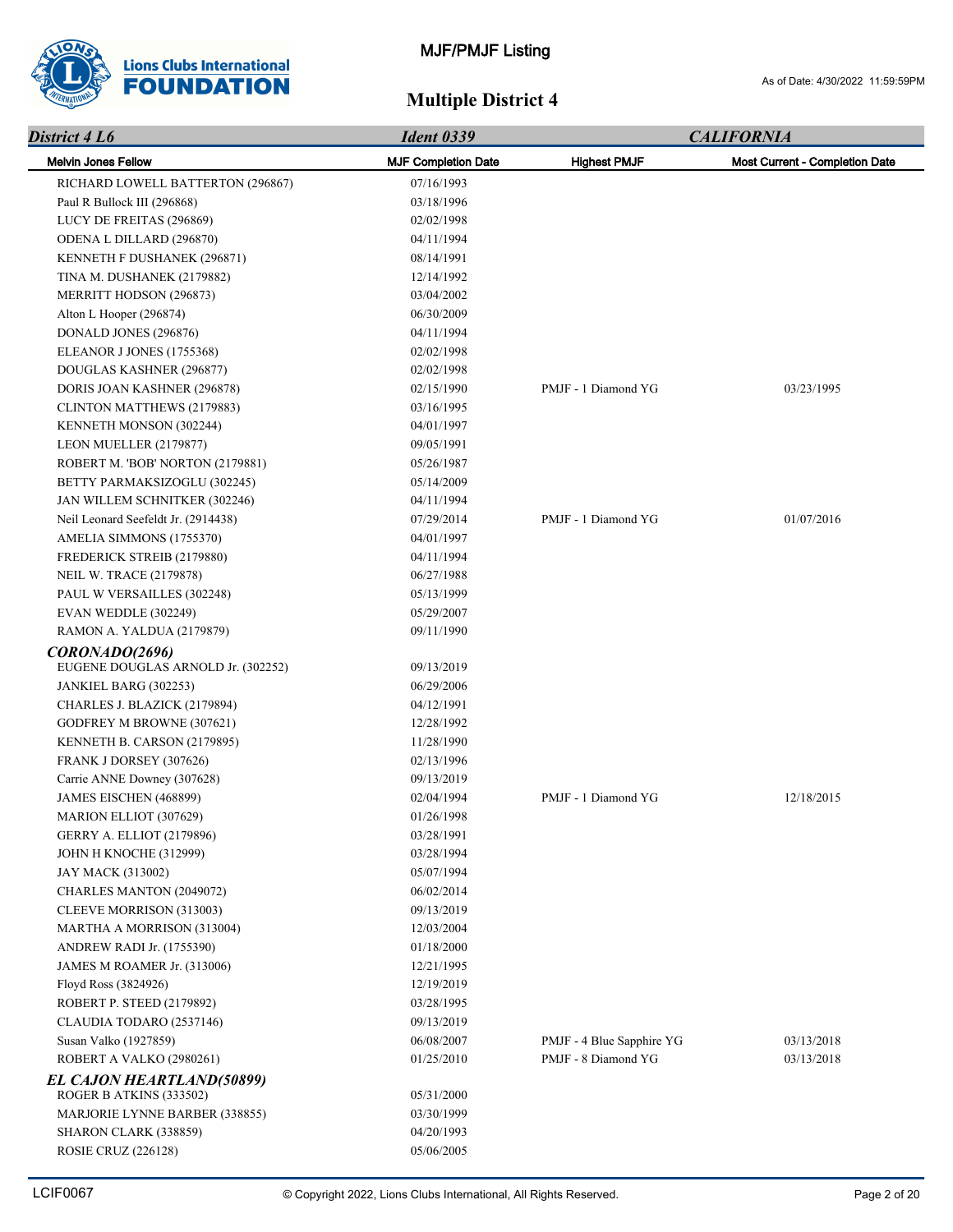

| District 4 L6                       | <b>Ident 0339</b>          |                           | <b>CALIFORNIA</b>              |  |
|-------------------------------------|----------------------------|---------------------------|--------------------------------|--|
| <b>Melvin Jones Fellow</b>          | <b>MJF Completion Date</b> | <b>Highest PMJF</b>       | Most Current - Completion Date |  |
| RICHARD LOWELL BATTERTON (296867)   | 07/16/1993                 |                           |                                |  |
| Paul R Bullock III (296868)         | 03/18/1996                 |                           |                                |  |
| LUCY DE FREITAS (296869)            | 02/02/1998                 |                           |                                |  |
| ODENA L DILLARD (296870)            | 04/11/1994                 |                           |                                |  |
| KENNETH F DUSHANEK (296871)         | 08/14/1991                 |                           |                                |  |
| TINA M. DUSHANEK (2179882)          | 12/14/1992                 |                           |                                |  |
| MERRITT HODSON (296873)             | 03/04/2002                 |                           |                                |  |
| Alton L Hooper (296874)             | 06/30/2009                 |                           |                                |  |
| DONALD JONES (296876)               | 04/11/1994                 |                           |                                |  |
| ELEANOR J JONES (1755368)           | 02/02/1998                 |                           |                                |  |
| DOUGLAS KASHNER (296877)            | 02/02/1998                 |                           |                                |  |
| DORIS JOAN KASHNER (296878)         | 02/15/1990                 | PMJF - 1 Diamond YG       | 03/23/1995                     |  |
| CLINTON MATTHEWS (2179883)          | 03/16/1995                 |                           |                                |  |
| KENNETH MONSON (302244)             | 04/01/1997                 |                           |                                |  |
| LEON MUELLER (2179877)              | 09/05/1991                 |                           |                                |  |
| ROBERT M. 'BOB' NORTON (2179881)    | 05/26/1987                 |                           |                                |  |
| BETTY PARMAKSIZOGLU (302245)        | 05/14/2009                 |                           |                                |  |
| JAN WILLEM SCHNITKER (302246)       | 04/11/1994                 |                           |                                |  |
| Neil Leonard Seefeldt Jr. (2914438) | 07/29/2014                 | PMJF - 1 Diamond YG       | 01/07/2016                     |  |
| AMELIA SIMMONS (1755370)            | 04/01/1997                 |                           |                                |  |
| FREDERICK STREIB (2179880)          | 04/11/1994                 |                           |                                |  |
| <b>NEIL W. TRACE (2179878)</b>      | 06/27/1988                 |                           |                                |  |
| PAUL W VERSAILLES (302248)          | 05/13/1999                 |                           |                                |  |
| EVAN WEDDLE (302249)                | 05/29/2007                 |                           |                                |  |
| RAMON A. YALDUA (2179879)           | 09/11/1990                 |                           |                                |  |
| CORONADO(2696)                      |                            |                           |                                |  |
| EUGENE DOUGLAS ARNOLD Jr. (302252)  | 09/13/2019                 |                           |                                |  |
| JANKIEL BARG (302253)               | 06/29/2006                 |                           |                                |  |
| CHARLES J. BLAZICK (2179894)        | 04/12/1991                 |                           |                                |  |
| GODFREY M BROWNE (307621)           | 12/28/1992                 |                           |                                |  |
| KENNETH B. CARSON (2179895)         | 11/28/1990                 |                           |                                |  |
| FRANK J DORSEY (307626)             | 02/13/1996                 |                           |                                |  |
| Carrie ANNE Downey (307628)         | 09/13/2019                 |                           |                                |  |
| JAMES EISCHEN (468899)              | 02/04/1994                 | PMJF - 1 Diamond YG       | 12/18/2015                     |  |
| <b>MARION ELLIOT (307629)</b>       | 01/26/1998                 |                           |                                |  |
| GERRY A. ELLIOT (2179896)           | 03/28/1991                 |                           |                                |  |
| <b>JOHN H KNOCHE (312999)</b>       | 03/28/1994                 |                           |                                |  |
| JAY MACK (313002)                   | 05/07/1994                 |                           |                                |  |
| CHARLES MANTON (2049072)            | 06/02/2014                 |                           |                                |  |
| CLEEVE MORRISON (313003)            | 09/13/2019                 |                           |                                |  |
| MARTHA A MORRISON (313004)          | 12/03/2004                 |                           |                                |  |
| ANDREW RADI Jr. (1755390)           | 01/18/2000                 |                           |                                |  |
| JAMES M ROAMER Jr. (313006)         | 12/21/1995                 |                           |                                |  |
| Floyd Ross (3824926)                | 12/19/2019                 |                           |                                |  |
| ROBERT P. STEED (2179892)           | 03/28/1995                 |                           |                                |  |
| CLAUDIA TODARO (2537146)            | 09/13/2019                 |                           |                                |  |
| Susan Valko (1927859)               | 06/08/2007                 | PMJF - 4 Blue Sapphire YG | 03/13/2018                     |  |
| ROBERT A VALKO (2980261)            | 01/25/2010                 | PMJF - 8 Diamond YG       | 03/13/2018                     |  |
| <b>EL CAJON HEARTLAND(50899)</b>    |                            |                           |                                |  |
| ROGER B ATKINS (333502)             | 05/31/2000                 |                           |                                |  |
| MARJORIE LYNNE BARBER (338855)      | 03/30/1999                 |                           |                                |  |
| SHARON CLARK (338859)               | 04/20/1993                 |                           |                                |  |
| ROSIE CRUZ (226128)                 | 05/06/2005                 |                           |                                |  |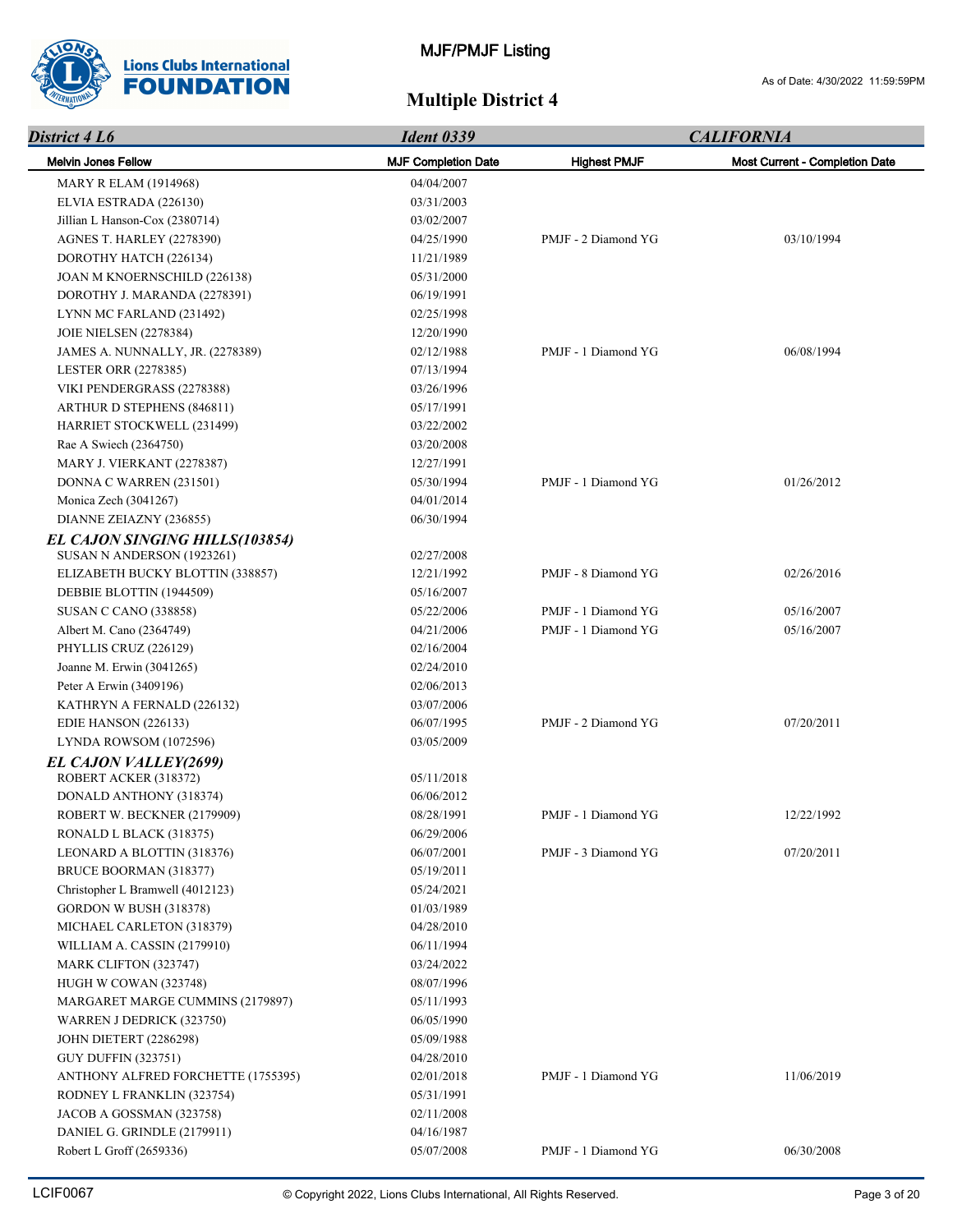

| District 4 L6                      | <b>Ident 0339</b>          | <b>CALIFORNIA</b>   |                                |  |
|------------------------------------|----------------------------|---------------------|--------------------------------|--|
| <b>Melvin Jones Fellow</b>         | <b>MJF Completion Date</b> | <b>Highest PMJF</b> | Most Current - Completion Date |  |
| <b>MARY R ELAM (1914968)</b>       | 04/04/2007                 |                     |                                |  |
| ELVIA ESTRADA (226130)             | 03/31/2003                 |                     |                                |  |
| Jillian L Hanson-Cox (2380714)     | 03/02/2007                 |                     |                                |  |
| <b>AGNES T. HARLEY (2278390)</b>   | 04/25/1990                 | PMJF - 2 Diamond YG | 03/10/1994                     |  |
| DOROTHY HATCH (226134)             | 11/21/1989                 |                     |                                |  |
| JOAN M KNOERNSCHILD (226138)       | 05/31/2000                 |                     |                                |  |
| DOROTHY J. MARANDA (2278391)       | 06/19/1991                 |                     |                                |  |
| LYNN MC FARLAND (231492)           | 02/25/1998                 |                     |                                |  |
| <b>JOIE NIELSEN (2278384)</b>      | 12/20/1990                 |                     |                                |  |
| JAMES A. NUNNALLY, JR. (2278389)   | 02/12/1988                 | PMJF - 1 Diamond YG | 06/08/1994                     |  |
| <b>LESTER ORR (2278385)</b>        | 07/13/1994                 |                     |                                |  |
| VIKI PENDERGRASS (2278388)         | 03/26/1996                 |                     |                                |  |
| <b>ARTHUR D STEPHENS (846811)</b>  | 05/17/1991                 |                     |                                |  |
| HARRIET STOCKWELL (231499)         | 03/22/2002                 |                     |                                |  |
| Rae A Swiech (2364750)             | 03/20/2008                 |                     |                                |  |
| MARY J. VIERKANT (2278387)         | 12/27/1991                 |                     |                                |  |
| DONNA C WARREN (231501)            | 05/30/1994                 | PMJF - 1 Diamond YG | 01/26/2012                     |  |
| Monica Zech (3041267)              | 04/01/2014                 |                     |                                |  |
| DIANNE ZEIAZNY (236855)            | 06/30/1994                 |                     |                                |  |
| EL CAJON SINGING HILLS(103854)     |                            |                     |                                |  |
| SUSAN N ANDERSON (1923261)         | 02/27/2008                 |                     |                                |  |
| ELIZABETH BUCKY BLOTTIN (338857)   | 12/21/1992                 | PMJF - 8 Diamond YG | 02/26/2016                     |  |
| DEBBIE BLOTTIN (1944509)           | 05/16/2007                 |                     |                                |  |
| <b>SUSAN C CANO (338858)</b>       | 05/22/2006                 | PMJF - 1 Diamond YG | 05/16/2007                     |  |
| Albert M. Cano (2364749)           | 04/21/2006                 | PMJF - 1 Diamond YG | 05/16/2007                     |  |
| PHYLLIS CRUZ (226129)              | 02/16/2004                 |                     |                                |  |
| Joanne M. Erwin (3041265)          | 02/24/2010                 |                     |                                |  |
| Peter A Erwin (3409196)            | 02/06/2013                 |                     |                                |  |
| KATHRYN A FERNALD (226132)         | 03/07/2006                 |                     |                                |  |
| EDIE HANSON (226133)               | 06/07/1995                 | PMJF - 2 Diamond YG | 07/20/2011                     |  |
| <b>LYNDA ROWSOM (1072596)</b>      | 03/05/2009                 |                     |                                |  |
| EL CAJON VALLEY(2699)              |                            |                     |                                |  |
| ROBERT ACKER (318372)              | 05/11/2018                 |                     |                                |  |
| DONALD ANTHONY (318374)            | 06/06/2012                 |                     |                                |  |
| ROBERT W. BECKNER (2179909)        | 08/28/1991                 | PMJF - 1 Diamond YG | 12/22/1992                     |  |
| RONALD L BLACK (318375)            | 06/29/2006                 |                     |                                |  |
| LEONARD A BLOTTIN (318376)         | 06/07/2001                 | PMJF - 3 Diamond YG | 07/20/2011                     |  |
| BRUCE BOORMAN (318377)             | 05/19/2011                 |                     |                                |  |
| Christopher L Bramwell (4012123)   | 05/24/2021                 |                     |                                |  |
| GORDON W BUSH (318378)             | 01/03/1989                 |                     |                                |  |
| MICHAEL CARLETON (318379)          | 04/28/2010                 |                     |                                |  |
| WILLIAM A. CASSIN (2179910)        | 06/11/1994                 |                     |                                |  |
| MARK CLIFTON (323747)              | 03/24/2022                 |                     |                                |  |
| HUGH W COWAN (323748)              | 08/07/1996                 |                     |                                |  |
| MARGARET MARGE CUMMINS (2179897)   | 05/11/1993                 |                     |                                |  |
| WARREN J DEDRICK (323750)          | 06/05/1990                 |                     |                                |  |
| <b>JOHN DIETERT (2286298)</b>      | 05/09/1988                 |                     |                                |  |
| <b>GUY DUFFIN (323751)</b>         | 04/28/2010                 |                     |                                |  |
| ANTHONY ALFRED FORCHETTE (1755395) | 02/01/2018                 | PMJF - 1 Diamond YG | 11/06/2019                     |  |
| RODNEY L FRANKLIN (323754)         | 05/31/1991                 |                     |                                |  |
| JACOB A GOSSMAN (323758)           | 02/11/2008                 |                     |                                |  |
| DANIEL G. GRINDLE (2179911)        | 04/16/1987                 |                     |                                |  |
| Robert L Groff (2659336)           | 05/07/2008                 | PMJF - 1 Diamond YG | 06/30/2008                     |  |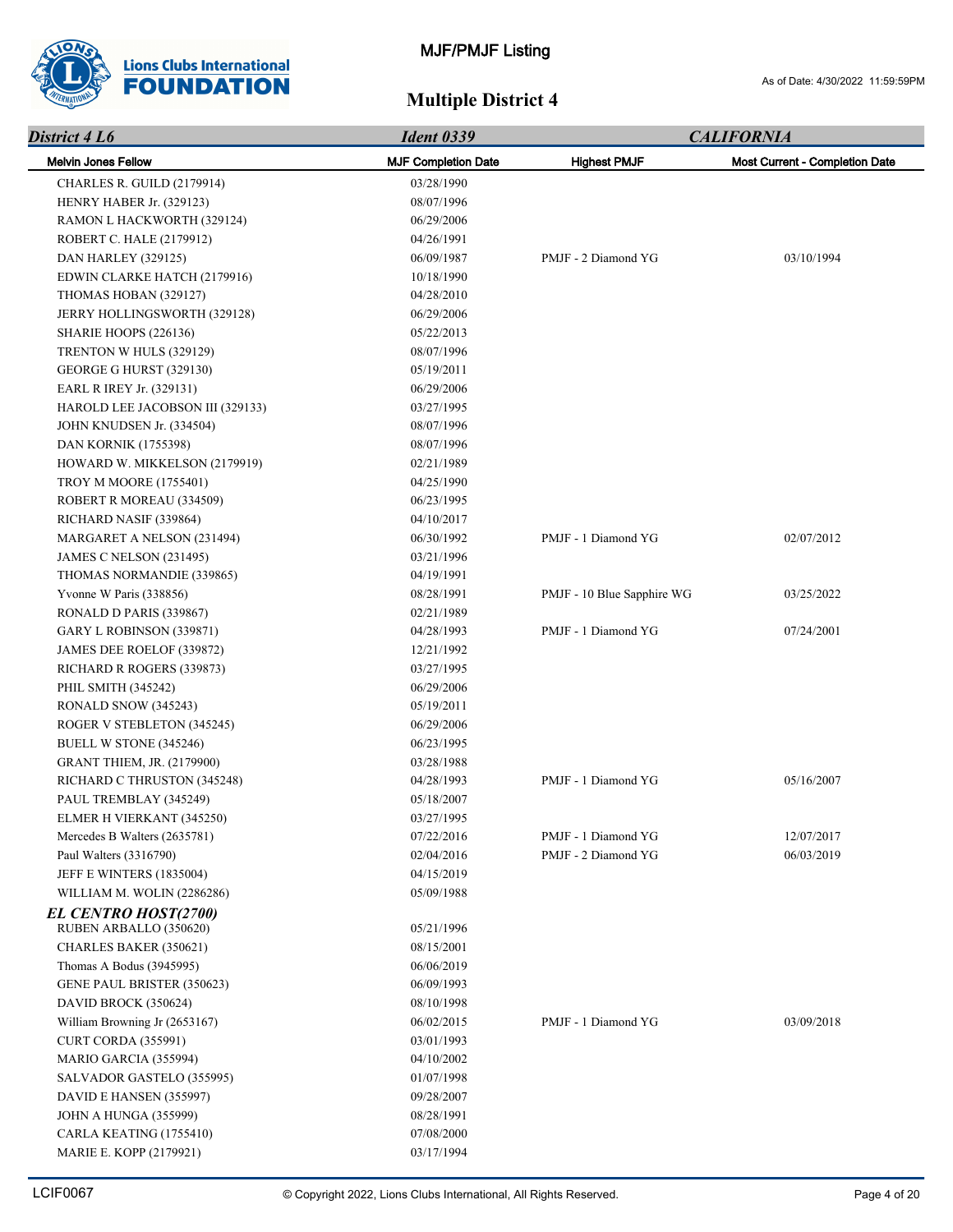

| District 4 L6                    | <b>Ident 0339</b>          | <b>CALIFORNIA</b>          |                                       |
|----------------------------------|----------------------------|----------------------------|---------------------------------------|
| <b>Melvin Jones Fellow</b>       | <b>MJF Completion Date</b> | <b>Highest PMJF</b>        | <b>Most Current - Completion Date</b> |
| CHARLES R. GUILD (2179914)       | 03/28/1990                 |                            |                                       |
| HENRY HABER Jr. (329123)         | 08/07/1996                 |                            |                                       |
| RAMON L HACKWORTH (329124)       | 06/29/2006                 |                            |                                       |
| ROBERT C. HALE (2179912)         | 04/26/1991                 |                            |                                       |
| DAN HARLEY (329125)              | 06/09/1987                 | PMJF - 2 Diamond YG        | 03/10/1994                            |
| EDWIN CLARKE HATCH (2179916)     | 10/18/1990                 |                            |                                       |
| THOMAS HOBAN (329127)            | 04/28/2010                 |                            |                                       |
| JERRY HOLLINGSWORTH (329128)     | 06/29/2006                 |                            |                                       |
| SHARIE HOOPS (226136)            | 05/22/2013                 |                            |                                       |
| TRENTON W HULS (329129)          | 08/07/1996                 |                            |                                       |
| GEORGE G HURST (329130)          | 05/19/2011                 |                            |                                       |
| EARL R IREY Jr. (329131)         | 06/29/2006                 |                            |                                       |
| HAROLD LEE JACOBSON III (329133) | 03/27/1995                 |                            |                                       |
| JOHN KNUDSEN Jr. (334504)        | 08/07/1996                 |                            |                                       |
| <b>DAN KORNIK (1755398)</b>      | 08/07/1996                 |                            |                                       |
| HOWARD W. MIKKELSON (2179919)    | 02/21/1989                 |                            |                                       |
| <b>TROY M MOORE (1755401)</b>    | 04/25/1990                 |                            |                                       |
| ROBERT R MOREAU (334509)         | 06/23/1995                 |                            |                                       |
| RICHARD NASIF (339864)           | 04/10/2017                 |                            |                                       |
| MARGARET A NELSON (231494)       | 06/30/1992                 | PMJF - 1 Diamond YG        | 02/07/2012                            |
| <b>JAMES C NELSON (231495)</b>   | 03/21/1996                 |                            |                                       |
| THOMAS NORMANDIE (339865)        | 04/19/1991                 |                            |                                       |
| Yvonne W Paris (338856)          | 08/28/1991                 | PMJF - 10 Blue Sapphire WG | 03/25/2022                            |
| RONALD D PARIS (339867)          | 02/21/1989                 |                            |                                       |
| GARY L ROBINSON (339871)         | 04/28/1993                 | PMJF - 1 Diamond YG        | 07/24/2001                            |
| JAMES DEE ROELOF (339872)        | 12/21/1992                 |                            |                                       |
| RICHARD R ROGERS (339873)        | 03/27/1995                 |                            |                                       |
| PHIL SMITH (345242)              | 06/29/2006                 |                            |                                       |
| RONALD SNOW (345243)             | 05/19/2011                 |                            |                                       |
| ROGER V STEBLETON (345245)       | 06/29/2006                 |                            |                                       |
| BUELL W STONE (345246)           | 06/23/1995                 |                            |                                       |
| GRANT THIEM, JR. (2179900)       | 03/28/1988                 |                            |                                       |
| RICHARD C THRUSTON (345248)      | 04/28/1993                 | PMJF - 1 Diamond YG        | 05/16/2007                            |
| PAUL TREMBLAY (345249)           | 05/18/2007                 |                            |                                       |
| ELMER H VIERKANT (345250)        | 03/27/1995                 |                            |                                       |
| Mercedes B Walters (2635781)     | 07/22/2016                 | PMJF - 1 Diamond YG        | 12/07/2017                            |
| Paul Walters (3316790)           | 02/04/2016                 | PMJF - 2 Diamond YG        | 06/03/2019                            |
| JEFF E WINTERS (1835004)         | 04/15/2019                 |                            |                                       |
| WILLIAM M. WOLIN (2286286)       | 05/09/1988                 |                            |                                       |
| <b>EL CENTRO HOST(2700)</b>      |                            |                            |                                       |
| RUBEN ARBALLO (350620)           | 05/21/1996                 |                            |                                       |
| CHARLES BAKER (350621)           | 08/15/2001                 |                            |                                       |
| Thomas A Bodus (3945995)         | 06/06/2019                 |                            |                                       |
| GENE PAUL BRISTER (350623)       | 06/09/1993                 |                            |                                       |
| DAVID BROCK (350624)             | 08/10/1998                 |                            |                                       |
| William Browning Jr (2653167)    | 06/02/2015                 | PMJF - 1 Diamond YG        | 03/09/2018                            |
| CURT CORDA (355991)              | 03/01/1993                 |                            |                                       |
| MARIO GARCIA (355994)            | 04/10/2002                 |                            |                                       |
| SALVADOR GASTELO (355995)        | 01/07/1998                 |                            |                                       |
| DAVID E HANSEN (355997)          | 09/28/2007                 |                            |                                       |
| <b>JOHN A HUNGA (355999)</b>     | 08/28/1991                 |                            |                                       |
| CARLA KEATING (1755410)          | 07/08/2000                 |                            |                                       |
| MARIE E. KOPP (2179921)          | 03/17/1994                 |                            |                                       |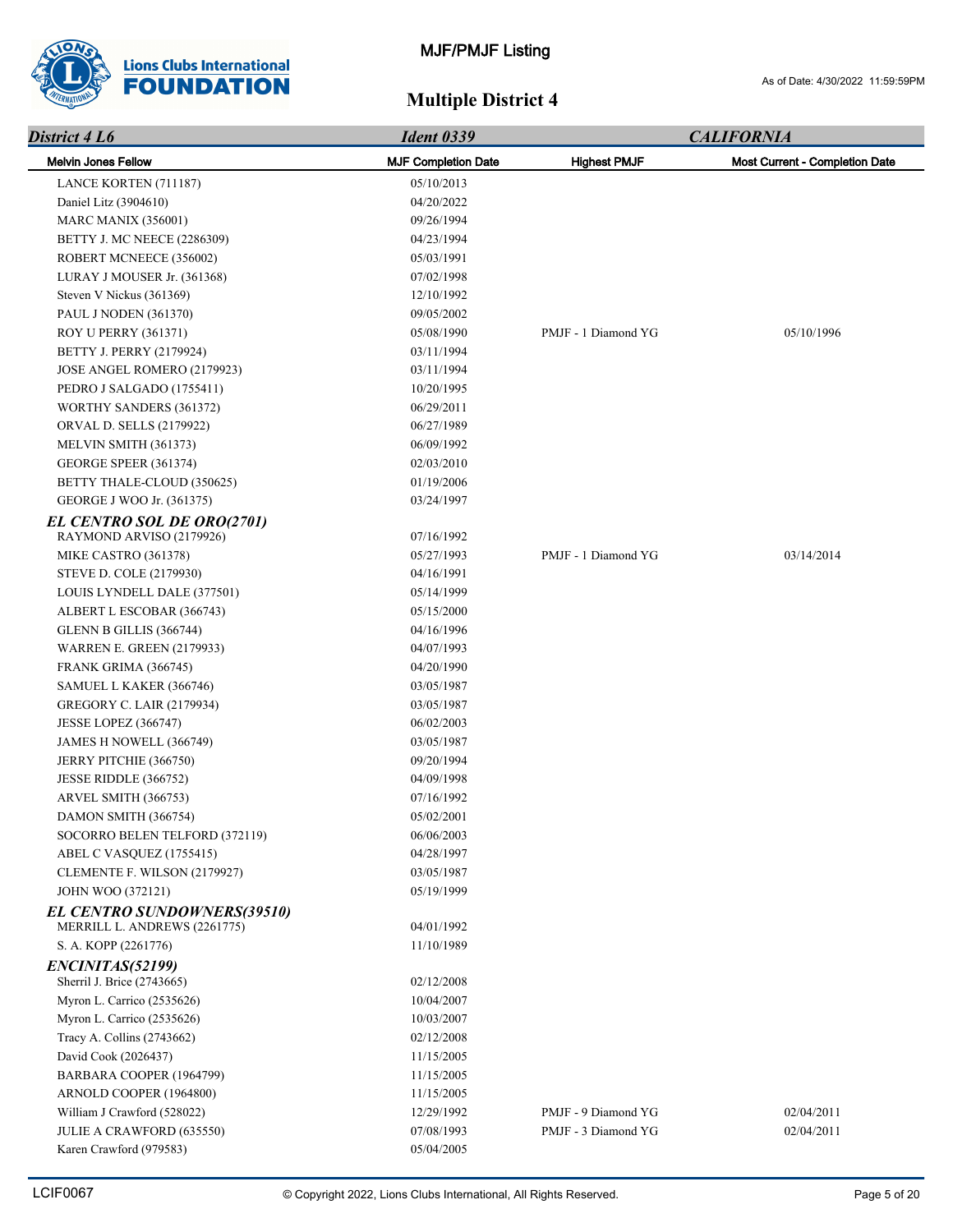

| District 4 L6                      | <b>Ident 0339</b>          |                     | <b>CALIFORNIA</b>                     |  |
|------------------------------------|----------------------------|---------------------|---------------------------------------|--|
| <b>Melvin Jones Fellow</b>         | <b>MJF Completion Date</b> | <b>Highest PMJF</b> | <b>Most Current - Completion Date</b> |  |
| LANCE KORTEN (711187)              | 05/10/2013                 |                     |                                       |  |
| Daniel Litz (3904610)              | 04/20/2022                 |                     |                                       |  |
| <b>MARC MANIX (356001)</b>         | 09/26/1994                 |                     |                                       |  |
| <b>BETTY J. MC NEECE (2286309)</b> | 04/23/1994                 |                     |                                       |  |
| ROBERT MCNEECE (356002)            | 05/03/1991                 |                     |                                       |  |
| LURAY J MOUSER Jr. (361368)        | 07/02/1998                 |                     |                                       |  |
| Steven V Nickus (361369)           | 12/10/1992                 |                     |                                       |  |
| PAUL J NODEN (361370)              | 09/05/2002                 |                     |                                       |  |
| <b>ROY U PERRY (361371)</b>        | 05/08/1990                 | PMJF - 1 Diamond YG | 05/10/1996                            |  |
| BETTY J. PERRY (2179924)           | 03/11/1994                 |                     |                                       |  |
| JOSE ANGEL ROMERO (2179923)        | 03/11/1994                 |                     |                                       |  |
| PEDRO J SALGADO (1755411)          | 10/20/1995                 |                     |                                       |  |
| WORTHY SANDERS (361372)            | 06/29/2011                 |                     |                                       |  |
| ORVAL D. SELLS (2179922)           | 06/27/1989                 |                     |                                       |  |
| MELVIN SMITH (361373)              | 06/09/1992                 |                     |                                       |  |
| GEORGE SPEER (361374)              | 02/03/2010                 |                     |                                       |  |
| BETTY THALE-CLOUD (350625)         | 01/19/2006                 |                     |                                       |  |
| GEORGE J WOO Jr. (361375)          | 03/24/1997                 |                     |                                       |  |
| EL CENTRO SOL DE ORO(2701)         |                            |                     |                                       |  |
| RAYMOND ARVISO (2179926)           | 07/16/1992                 |                     |                                       |  |
| MIKE CASTRO (361378)               | 05/27/1993                 | PMJF - 1 Diamond YG | 03/14/2014                            |  |
| STEVE D. COLE (2179930)            | 04/16/1991                 |                     |                                       |  |
| LOUIS LYNDELL DALE (377501)        | 05/14/1999                 |                     |                                       |  |
| ALBERT L ESCOBAR (366743)          | 05/15/2000                 |                     |                                       |  |
| GLENN B GILLIS (366744)            | 04/16/1996                 |                     |                                       |  |
| <b>WARREN E. GREEN (2179933)</b>   | 04/07/1993                 |                     |                                       |  |
| FRANK GRIMA (366745)               | 04/20/1990                 |                     |                                       |  |
| SAMUEL L KAKER (366746)            | 03/05/1987                 |                     |                                       |  |
| <b>GREGORY C. LAIR (2179934)</b>   | 03/05/1987                 |                     |                                       |  |
| <b>JESSE LOPEZ (366747)</b>        | 06/02/2003                 |                     |                                       |  |
| JAMES H NOWELL (366749)            | 03/05/1987                 |                     |                                       |  |
| JERRY PITCHIE (366750)             | 09/20/1994                 |                     |                                       |  |
| JESSE RIDDLE (366752)              | 04/09/1998                 |                     |                                       |  |
| ARVEL SMITH (366753)               | 07/16/1992                 |                     |                                       |  |
| DAMON SMITH (366754)               | 05/02/2001                 |                     |                                       |  |
| SOCORRO BELEN TELFORD (372119)     | 06/06/2003                 |                     |                                       |  |
| ABEL C VASQUEZ (1755415)           | 04/28/1997                 |                     |                                       |  |
| CLEMENTE F. WILSON (2179927)       | 03/05/1987                 |                     |                                       |  |
| <b>JOHN WOO (372121)</b>           | 05/19/1999                 |                     |                                       |  |
| <b>EL CENTRO SUNDOWNERS(39510)</b> |                            |                     |                                       |  |
| MERRILL L. ANDREWS (2261775)       | 04/01/1992                 |                     |                                       |  |
| S. A. KOPP (2261776)               | 11/10/1989                 |                     |                                       |  |
| ENCINITAS(52199)                   |                            |                     |                                       |  |
| Sherril J. Brice (2743665)         | 02/12/2008                 |                     |                                       |  |
| Myron L. Carrico (2535626)         | 10/04/2007                 |                     |                                       |  |
| Myron L. Carrico (2535626)         | 10/03/2007                 |                     |                                       |  |
| Tracy A. Collins (2743662)         | 02/12/2008                 |                     |                                       |  |
| David Cook (2026437)               | 11/15/2005                 |                     |                                       |  |
| BARBARA COOPER (1964799)           | 11/15/2005                 |                     |                                       |  |
| ARNOLD COOPER (1964800)            | 11/15/2005                 |                     |                                       |  |
| William J Crawford (528022)        | 12/29/1992                 | PMJF - 9 Diamond YG | 02/04/2011                            |  |
| JULIE A CRAWFORD (635550)          | 07/08/1993                 | PMJF - 3 Diamond YG | 02/04/2011                            |  |
| Karen Crawford (979583)            | 05/04/2005                 |                     |                                       |  |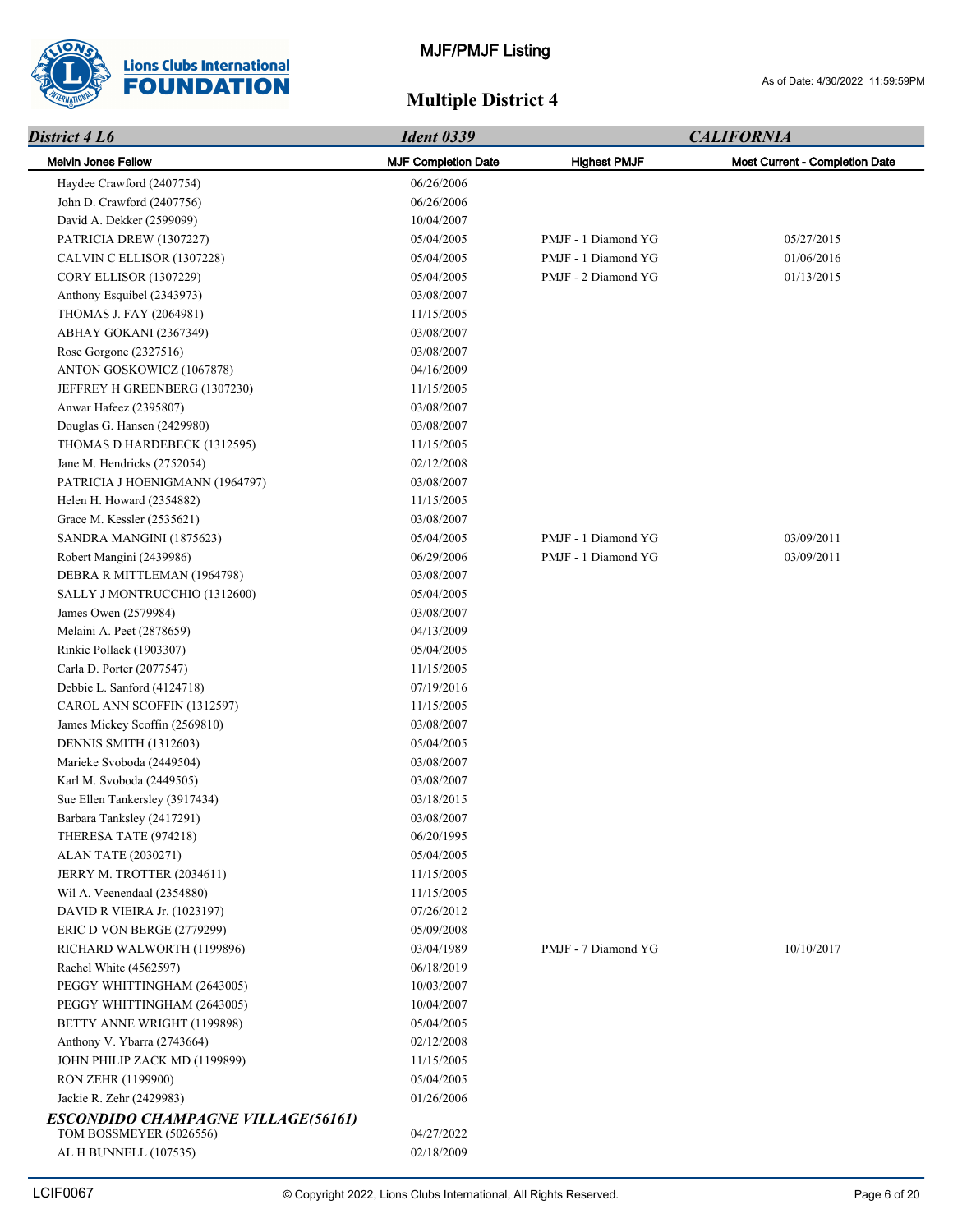

| District 4 L6                             | <b>Ident 0339</b>          |                     | <b>CALIFORNIA</b>                     |
|-------------------------------------------|----------------------------|---------------------|---------------------------------------|
| <b>Melvin Jones Fellow</b>                | <b>MJF Completion Date</b> | <b>Highest PMJF</b> | <b>Most Current - Completion Date</b> |
| Haydee Crawford (2407754)                 | 06/26/2006                 |                     |                                       |
| John D. Crawford (2407756)                | 06/26/2006                 |                     |                                       |
| David A. Dekker (2599099)                 | 10/04/2007                 |                     |                                       |
| PATRICIA DREW (1307227)                   | 05/04/2005                 | PMJF - 1 Diamond YG | 05/27/2015                            |
| CALVIN C ELLISOR (1307228)                | 05/04/2005                 | PMJF - 1 Diamond YG | 01/06/2016                            |
| <b>CORY ELLISOR (1307229)</b>             | 05/04/2005                 | PMJF - 2 Diamond YG | 01/13/2015                            |
| Anthony Esquibel (2343973)                | 03/08/2007                 |                     |                                       |
| THOMAS J. FAY (2064981)                   | 11/15/2005                 |                     |                                       |
| ABHAY GOKANI (2367349)                    | 03/08/2007                 |                     |                                       |
| Rose Gorgone (2327516)                    | 03/08/2007                 |                     |                                       |
| ANTON GOSKOWICZ (1067878)                 | 04/16/2009                 |                     |                                       |
| JEFFREY H GREENBERG (1307230)             | 11/15/2005                 |                     |                                       |
| Anwar Hafeez (2395807)                    | 03/08/2007                 |                     |                                       |
| Douglas G. Hansen (2429980)               | 03/08/2007                 |                     |                                       |
| THOMAS D HARDEBECK (1312595)              | 11/15/2005                 |                     |                                       |
| Jane M. Hendricks (2752054)               | 02/12/2008                 |                     |                                       |
| PATRICIA J HOENIGMANN (1964797)           | 03/08/2007                 |                     |                                       |
| Helen H. Howard (2354882)                 | 11/15/2005                 |                     |                                       |
| Grace M. Kessler (2535621)                | 03/08/2007                 |                     |                                       |
| SANDRA MANGINI (1875623)                  | 05/04/2005                 | PMJF - 1 Diamond YG | 03/09/2011                            |
| Robert Mangini (2439986)                  | 06/29/2006                 | PMJF - 1 Diamond YG | 03/09/2011                            |
| DEBRA R MITTLEMAN (1964798)               | 03/08/2007                 |                     |                                       |
| SALLY J MONTRUCCHIO (1312600)             | 05/04/2005                 |                     |                                       |
| James Owen (2579984)                      | 03/08/2007                 |                     |                                       |
| Melaini A. Peet (2878659)                 | 04/13/2009                 |                     |                                       |
| Rinkie Pollack (1903307)                  | 05/04/2005                 |                     |                                       |
| Carla D. Porter (2077547)                 | 11/15/2005                 |                     |                                       |
| Debbie L. Sanford (4124718)               | 07/19/2016                 |                     |                                       |
| CAROL ANN SCOFFIN (1312597)               | 11/15/2005                 |                     |                                       |
| James Mickey Scoffin (2569810)            | 03/08/2007                 |                     |                                       |
| DENNIS SMITH (1312603)                    | 05/04/2005                 |                     |                                       |
| Marieke Svoboda (2449504)                 | 03/08/2007                 |                     |                                       |
| Karl M. Svoboda (2449505)                 | 03/08/2007                 |                     |                                       |
| Sue Ellen Tankersley (3917434)            | 03/18/2015                 |                     |                                       |
| Barbara Tanksley (2417291)                | 03/08/2007                 |                     |                                       |
| THERESA TATE (974218)                     | 06/20/1995                 |                     |                                       |
| <b>ALAN TATE (2030271)</b>                | 05/04/2005                 |                     |                                       |
| JERRY M. TROTTER (2034611)                | 11/15/2005                 |                     |                                       |
| Wil A. Veenendaal (2354880)               | 11/15/2005                 |                     |                                       |
| DAVID R VIEIRA Jr. (1023197)              | 07/26/2012                 |                     |                                       |
| ERIC D VON BERGE (2779299)                | 05/09/2008                 |                     |                                       |
| RICHARD WALWORTH (1199896)                | 03/04/1989                 | PMJF - 7 Diamond YG | 10/10/2017                            |
| Rachel White (4562597)                    | 06/18/2019                 |                     |                                       |
| PEGGY WHITTINGHAM (2643005)               | 10/03/2007                 |                     |                                       |
| PEGGY WHITTINGHAM (2643005)               | 10/04/2007                 |                     |                                       |
| BETTY ANNE WRIGHT (1199898)               | 05/04/2005                 |                     |                                       |
| Anthony V. Ybarra (2743664)               | 02/12/2008                 |                     |                                       |
| JOHN PHILIP ZACK MD (1199899)             | 11/15/2005                 |                     |                                       |
| RON ZEHR (1199900)                        | 05/04/2005                 |                     |                                       |
| Jackie R. Zehr (2429983)                  | 01/26/2006                 |                     |                                       |
| <b>ESCONDIDO CHAMPAGNE VILLAGE(56161)</b> |                            |                     |                                       |
| TOM BOSSMEYER (5026556)                   | 04/27/2022                 |                     |                                       |
| AL H BUNNELL (107535)                     | 02/18/2009                 |                     |                                       |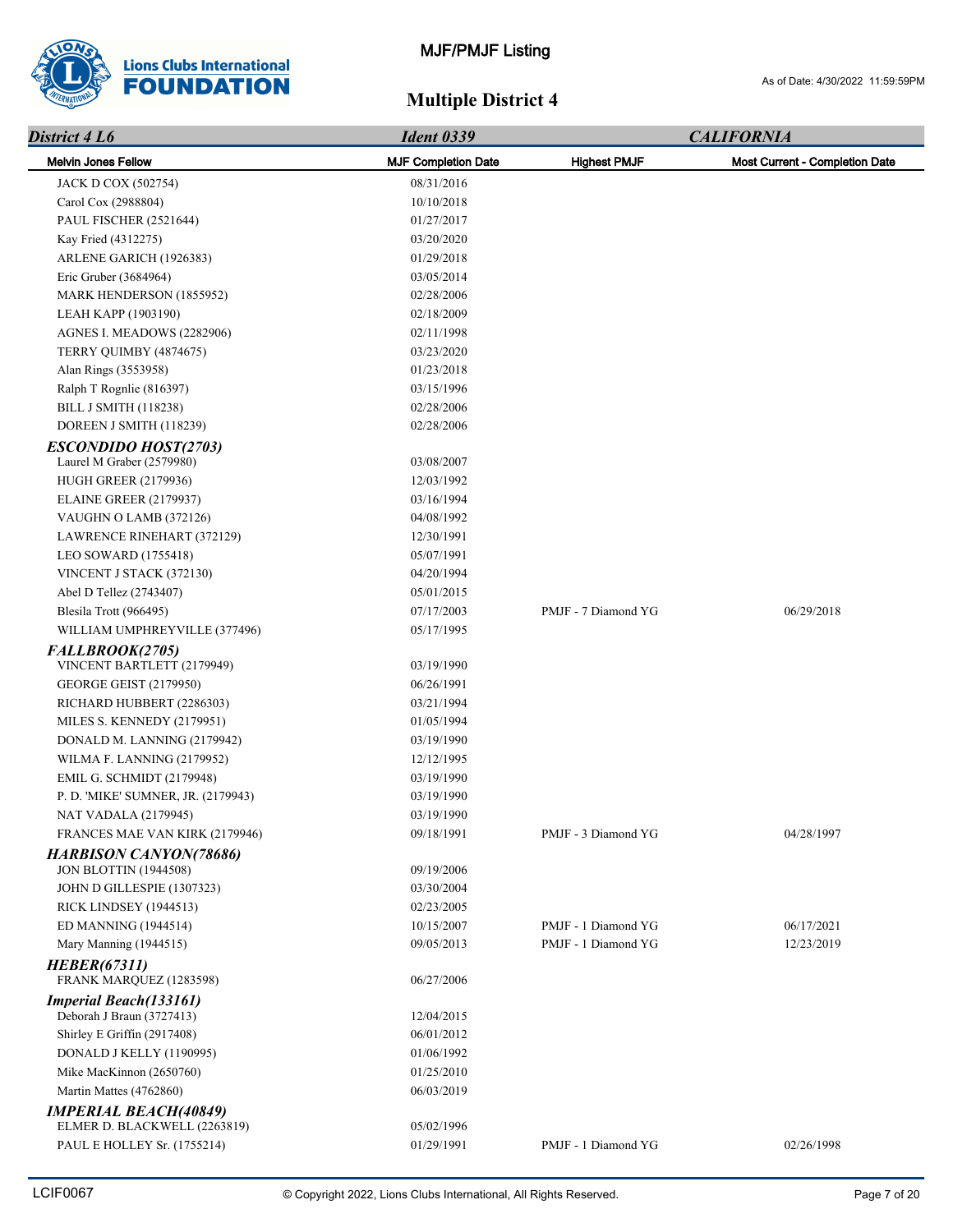

| District 4 L6                                              | <b>Ident 0339</b>          |                     | <b>CALIFORNIA</b>              |
|------------------------------------------------------------|----------------------------|---------------------|--------------------------------|
| <b>Melvin Jones Fellow</b>                                 | <b>MJF Completion Date</b> | <b>Highest PMJF</b> | Most Current - Completion Date |
| JACK D COX (502754)                                        | 08/31/2016                 |                     |                                |
| Carol Cox (2988804)                                        | 10/10/2018                 |                     |                                |
| PAUL FISCHER (2521644)                                     | 01/27/2017                 |                     |                                |
| Kay Fried (4312275)                                        | 03/20/2020                 |                     |                                |
| ARLENE GARICH (1926383)                                    | 01/29/2018                 |                     |                                |
| Eric Gruber (3684964)                                      | 03/05/2014                 |                     |                                |
| MARK HENDERSON (1855952)                                   | 02/28/2006                 |                     |                                |
| LEAH KAPP (1903190)                                        | 02/18/2009                 |                     |                                |
| AGNES I. MEADOWS (2282906)                                 | 02/11/1998                 |                     |                                |
| TERRY QUIMBY (4874675)                                     | 03/23/2020                 |                     |                                |
| Alan Rings (3553958)                                       | 01/23/2018                 |                     |                                |
| Ralph T Rognlie (816397)                                   | 03/15/1996                 |                     |                                |
| <b>BILL J SMITH (118238)</b>                               | 02/28/2006                 |                     |                                |
| DOREEN J SMITH (118239)                                    | 02/28/2006                 |                     |                                |
| <b>ESCONDIDO HOST(2703)</b>                                |                            |                     |                                |
| Laurel M Graber (2579980)                                  | 03/08/2007                 |                     |                                |
| <b>HUGH GREER (2179936)</b>                                | 12/03/1992                 |                     |                                |
| <b>ELAINE GREER (2179937)</b>                              | 03/16/1994                 |                     |                                |
| VAUGHN O LAMB (372126)                                     | 04/08/1992                 |                     |                                |
| LAWRENCE RINEHART (372129)                                 | 12/30/1991                 |                     |                                |
| LEO SOWARD (1755418)                                       | 05/07/1991                 |                     |                                |
| VINCENT J STACK (372130)                                   | 04/20/1994                 |                     |                                |
| Abel D Tellez (2743407)                                    | 05/01/2015                 |                     |                                |
| Blesila Trott (966495)                                     | 07/17/2003                 | PMJF - 7 Diamond YG | 06/29/2018                     |
| WILLIAM UMPHREYVILLE (377496)                              | 05/17/1995                 |                     |                                |
| FALLBROOK(2705)                                            |                            |                     |                                |
| VINCENT BARTLETT (2179949)                                 | 03/19/1990                 |                     |                                |
| <b>GEORGE GEIST (2179950)</b>                              | 06/26/1991                 |                     |                                |
| RICHARD HUBBERT (2286303)                                  | 03/21/1994                 |                     |                                |
| MILES S. KENNEDY (2179951)                                 | 01/05/1994                 |                     |                                |
| DONALD M. LANNING (2179942)                                | 03/19/1990                 |                     |                                |
| WILMA F. LANNING (2179952)                                 | 12/12/1995                 |                     |                                |
| <b>EMIL G. SCHMIDT (2179948)</b>                           | 03/19/1990                 |                     |                                |
| P. D. 'MIKE' SUMNER, JR. (2179943)                         | 03/19/1990                 |                     |                                |
| NAT VADALA (2179945)                                       | 03/19/1990                 |                     |                                |
| FRANCES MAE VAN KIRK (2179946)                             | 09/18/1991                 | PMJF - 3 Diamond YG | 04/28/1997                     |
| <b>HARBISON CANYON(78686)</b>                              |                            |                     |                                |
| <b>JON BLOTTIN (1944508)</b>                               | 09/19/2006                 |                     |                                |
| JOHN D GILLESPIE (1307323)                                 | 03/30/2004                 |                     |                                |
| <b>RICK LINDSEY (1944513)</b>                              | 02/23/2005                 |                     |                                |
| ED MANNING (1944514)                                       | 10/15/2007                 | PMJF - 1 Diamond YG | 06/17/2021                     |
| Mary Manning (1944515)                                     | 09/05/2013                 | PMJF - 1 Diamond YG | 12/23/2019                     |
| <b>HEBER(67311)</b>                                        |                            |                     |                                |
| FRANK MARQUEZ (1283598)                                    | 06/27/2006                 |                     |                                |
| <b>Imperial Beach(133161)</b><br>Deborah J Braun (3727413) | 12/04/2015                 |                     |                                |
| Shirley E Griffin (2917408)                                | 06/01/2012                 |                     |                                |
| DONALD J KELLY (1190995)                                   | 01/06/1992                 |                     |                                |
| Mike MacKinnon (2650760)                                   | 01/25/2010                 |                     |                                |
| Martin Mattes (4762860)                                    | 06/03/2019                 |                     |                                |
| <b>IMPERIAL BEACH(40849)</b>                               |                            |                     |                                |
| ELMER D. BLACKWELL (2263819)                               | 05/02/1996                 |                     |                                |
| PAUL E HOLLEY Sr. (1755214)                                | 01/29/1991                 | PMJF - 1 Diamond YG | 02/26/1998                     |
|                                                            |                            |                     |                                |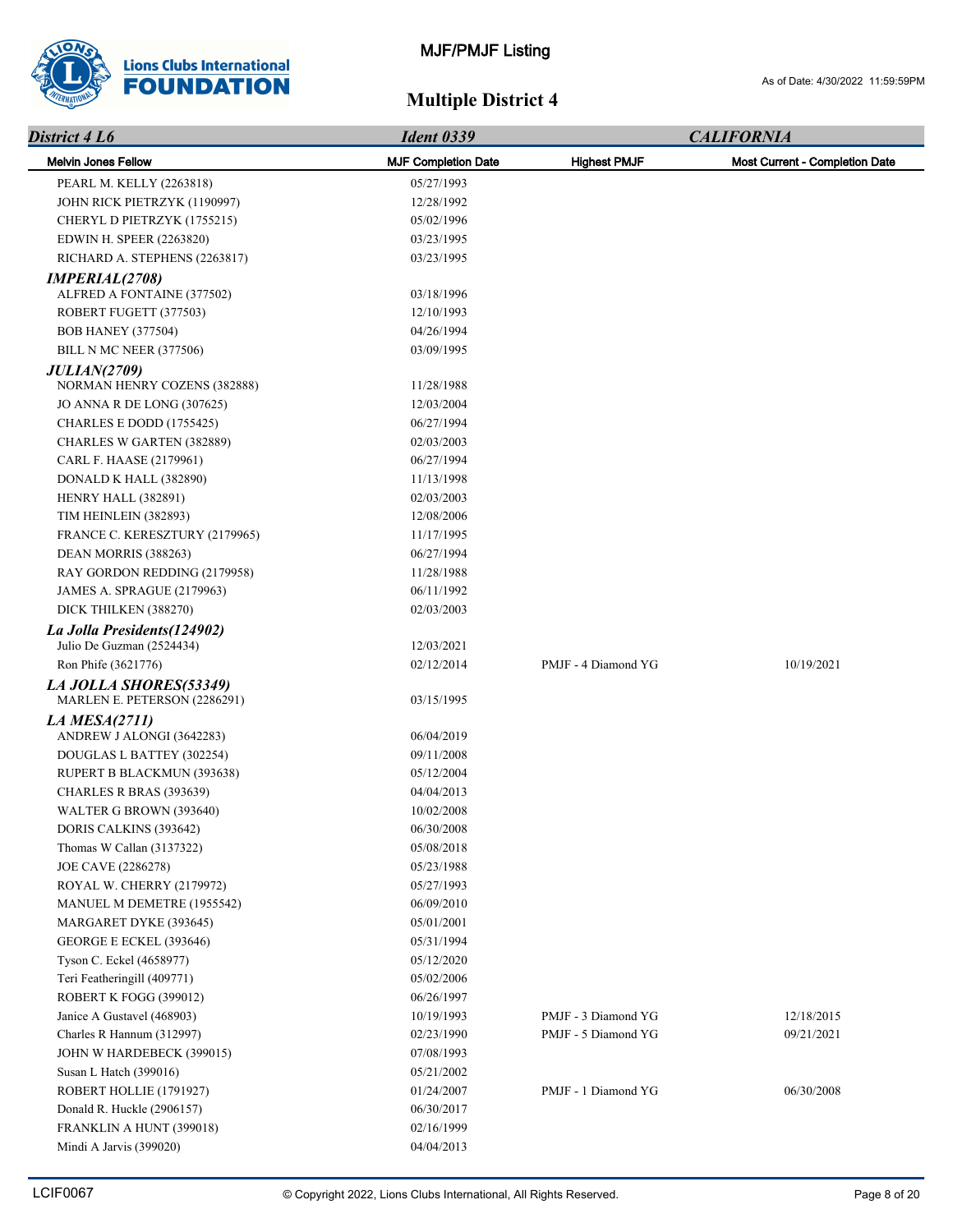

| District 4 L6                                             | <b>Ident 0339</b>          |                     | <b>CALIFORNIA</b>                     |  |
|-----------------------------------------------------------|----------------------------|---------------------|---------------------------------------|--|
| <b>Melvin Jones Fellow</b>                                | <b>MJF Completion Date</b> | <b>Highest PMJF</b> | <b>Most Current - Completion Date</b> |  |
| PEARL M. KELLY (2263818)                                  | 05/27/1993                 |                     |                                       |  |
| JOHN RICK PIETRZYK (1190997)                              | 12/28/1992                 |                     |                                       |  |
| CHERYL D PIETRZYK (1755215)                               | 05/02/1996                 |                     |                                       |  |
| EDWIN H. SPEER (2263820)                                  | 03/23/1995                 |                     |                                       |  |
| RICHARD A. STEPHENS (2263817)                             | 03/23/1995                 |                     |                                       |  |
| <b>IMPERIAL(2708)</b>                                     |                            |                     |                                       |  |
| ALFRED A FONTAINE (377502)                                | 03/18/1996                 |                     |                                       |  |
| ROBERT FUGETT (377503)                                    | 12/10/1993                 |                     |                                       |  |
| <b>BOB HANEY (377504)</b>                                 | 04/26/1994                 |                     |                                       |  |
| BILL N MC NEER (377506)                                   | 03/09/1995                 |                     |                                       |  |
| <b>JULIAN(2709)</b>                                       |                            |                     |                                       |  |
| NORMAN HENRY COZENS (382888)                              | 11/28/1988                 |                     |                                       |  |
| JO ANNA R DE LONG (307625)                                | 12/03/2004                 |                     |                                       |  |
| CHARLES E DODD (1755425)                                  | 06/27/1994                 |                     |                                       |  |
| CHARLES W GARTEN (382889)                                 | 02/03/2003                 |                     |                                       |  |
| CARL F. HAASE (2179961)                                   | 06/27/1994                 |                     |                                       |  |
| DONALD K HALL (382890)                                    | 11/13/1998                 |                     |                                       |  |
| HENRY HALL (382891)                                       | 02/03/2003                 |                     |                                       |  |
| TIM HEINLEIN (382893)                                     | 12/08/2006                 |                     |                                       |  |
| FRANCE C. KERESZTURY (2179965)                            | 11/17/1995                 |                     |                                       |  |
| DEAN MORRIS (388263)                                      | 06/27/1994                 |                     |                                       |  |
| RAY GORDON REDDING (2179958)                              | 11/28/1988                 |                     |                                       |  |
| JAMES A. SPRAGUE (2179963)                                | 06/11/1992                 |                     |                                       |  |
| DICK THILKEN (388270)                                     | 02/03/2003                 |                     |                                       |  |
| La Jolla Presidents (124902)<br>Julio De Guzman (2524434) | 12/03/2021                 |                     |                                       |  |
| Ron Phife (3621776)                                       | 02/12/2014                 | PMJF - 4 Diamond YG | 10/19/2021                            |  |
| LA JOLLA SHORES(53349)                                    |                            |                     |                                       |  |
| MARLEN E. PETERSON (2286291)                              | 03/15/1995                 |                     |                                       |  |
| LA MESA $(2711)$                                          |                            |                     |                                       |  |
| ANDREW J ALONGI (3642283)                                 | 06/04/2019                 |                     |                                       |  |
| DOUGLAS L BATTEY (302254)                                 | 09/11/2008                 |                     |                                       |  |
| RUPERT B BLACKMUN (393638)                                | 05/12/2004                 |                     |                                       |  |
| CHARLES R BRAS (393639)                                   | 04/04/2013                 |                     |                                       |  |
| WALTER G BROWN (393640)                                   | 10/02/2008                 |                     |                                       |  |
| DORIS CALKINS (393642)                                    | 06/30/2008                 |                     |                                       |  |
| Thomas W Callan (3137322)                                 | 05/08/2018                 |                     |                                       |  |
| JOE CAVE (2286278)                                        | 05/23/1988                 |                     |                                       |  |
| ROYAL W. CHERRY (2179972)                                 | 05/27/1993                 |                     |                                       |  |
| MANUEL M DEMETRE (1955542)                                | 06/09/2010                 |                     |                                       |  |
| MARGARET DYKE (393645)                                    | 05/01/2001                 |                     |                                       |  |
| GEORGE E ECKEL (393646)                                   | 05/31/1994                 |                     |                                       |  |
| Tyson C. Eckel (4658977)                                  | 05/12/2020                 |                     |                                       |  |
| Teri Featheringill (409771)                               | 05/02/2006                 |                     |                                       |  |
| ROBERT K FOGG (399012)                                    | 06/26/1997                 |                     |                                       |  |
| Janice A Gustavel (468903)                                | 10/19/1993                 | PMJF - 3 Diamond YG | 12/18/2015                            |  |
| Charles R Hannum (312997)                                 | 02/23/1990                 | PMJF - 5 Diamond YG | 09/21/2021                            |  |
| JOHN W HARDEBECK (399015)                                 | 07/08/1993                 |                     |                                       |  |
| Susan L Hatch (399016)                                    | 05/21/2002                 |                     |                                       |  |
| ROBERT HOLLIE (1791927)                                   | 01/24/2007                 | PMJF - 1 Diamond YG | 06/30/2008                            |  |
| Donald R. Huckle (2906157)                                | 06/30/2017                 |                     |                                       |  |
| FRANKLIN A HUNT (399018)<br>Mindi A Jarvis (399020)       | 02/16/1999<br>04/04/2013   |                     |                                       |  |
|                                                           |                            |                     |                                       |  |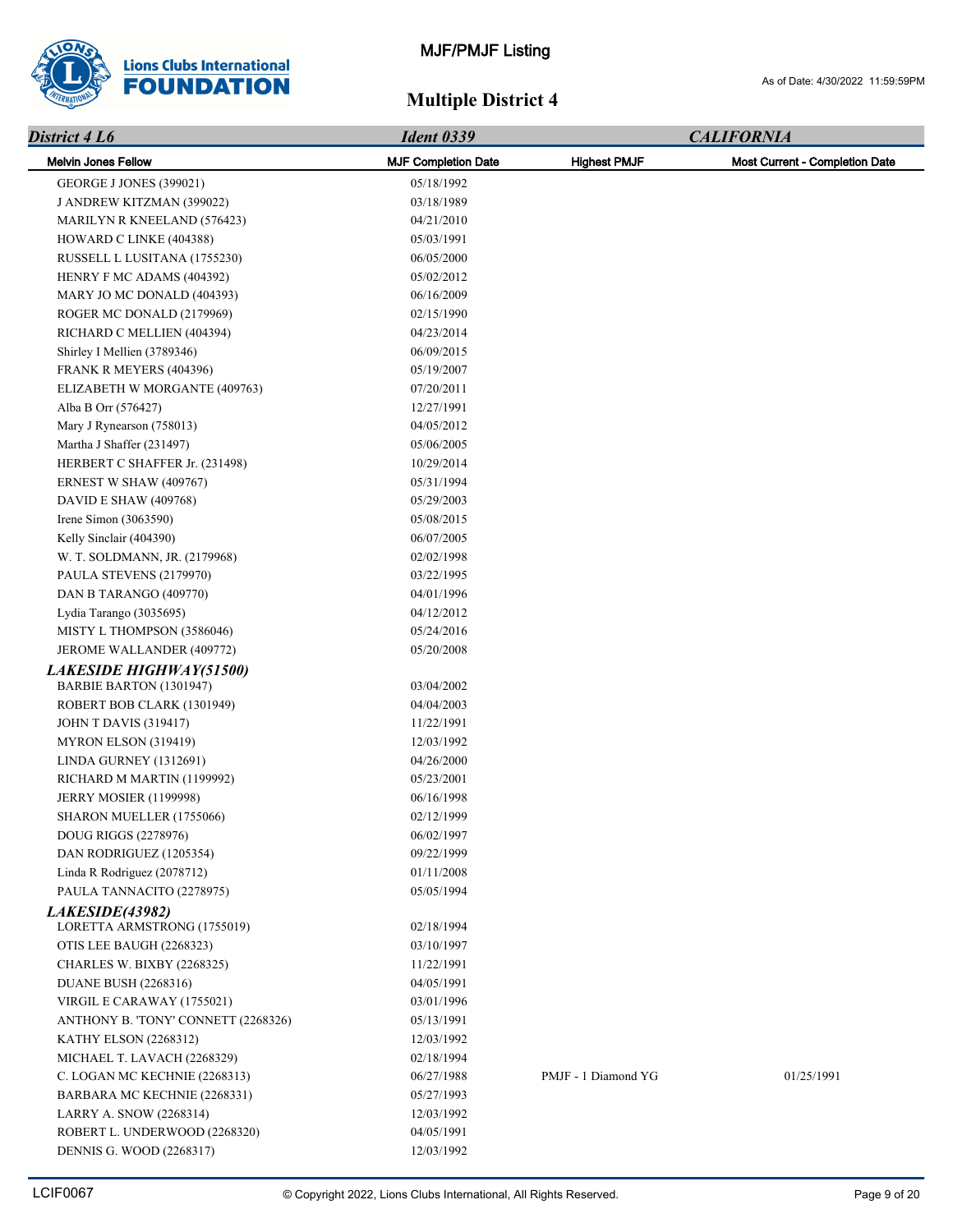

| District 4 L6                                      | <b>Ident 0339</b>          |                     | <b>CALIFORNIA</b>              |  |
|----------------------------------------------------|----------------------------|---------------------|--------------------------------|--|
| <b>Melvin Jones Fellow</b>                         | <b>MJF Completion Date</b> | <b>Highest PMJF</b> | Most Current - Completion Date |  |
| GEORGE J JONES (399021)                            | 05/18/1992                 |                     |                                |  |
| J ANDREW KITZMAN (399022)                          | 03/18/1989                 |                     |                                |  |
| <b>MARILYN R KNEELAND (576423)</b>                 | 04/21/2010                 |                     |                                |  |
| HOWARD C LINKE (404388)                            | 05/03/1991                 |                     |                                |  |
| RUSSELL L LUSITANA (1755230)                       | 06/05/2000                 |                     |                                |  |
| HENRY F MC ADAMS (404392)                          | 05/02/2012                 |                     |                                |  |
| MARY JO MC DONALD (404393)                         | 06/16/2009                 |                     |                                |  |
| ROGER MC DONALD (2179969)                          | 02/15/1990                 |                     |                                |  |
| RICHARD C MELLIEN (404394)                         | 04/23/2014                 |                     |                                |  |
| Shirley I Mellien (3789346)                        | 06/09/2015                 |                     |                                |  |
| FRANK R MEYERS (404396)                            | 05/19/2007                 |                     |                                |  |
| ELIZABETH W MORGANTE (409763)                      | 07/20/2011                 |                     |                                |  |
| Alba B Orr (576427)                                | 12/27/1991                 |                     |                                |  |
| Mary J Rynearson (758013)                          | 04/05/2012                 |                     |                                |  |
| Martha J Shaffer (231497)                          | 05/06/2005                 |                     |                                |  |
| HERBERT C SHAFFER Jr. (231498)                     | 10/29/2014                 |                     |                                |  |
| ERNEST W SHAW (409767)                             | 05/31/1994                 |                     |                                |  |
| DAVID E SHAW (409768)                              | 05/29/2003                 |                     |                                |  |
| Irene Simon (3063590)                              | 05/08/2015                 |                     |                                |  |
| Kelly Sinclair (404390)                            | 06/07/2005                 |                     |                                |  |
|                                                    | 02/02/1998                 |                     |                                |  |
| W. T. SOLDMANN, JR. (2179968)                      |                            |                     |                                |  |
| PAULA STEVENS (2179970)                            | 03/22/1995                 |                     |                                |  |
| DAN B TARANGO (409770)                             | 04/01/1996                 |                     |                                |  |
| Lydia Tarango (3035695)                            | 04/12/2012                 |                     |                                |  |
| MISTY L THOMPSON (3586046)                         | 05/24/2016                 |                     |                                |  |
| JEROME WALLANDER (409772)                          | 05/20/2008                 |                     |                                |  |
| LAKESIDE HIGHWAY(51500)<br>BARBIE BARTON (1301947) | 03/04/2002                 |                     |                                |  |
| ROBERT BOB CLARK (1301949)                         | 04/04/2003                 |                     |                                |  |
| <b>JOHN T DAVIS (319417)</b>                       | 11/22/1991                 |                     |                                |  |
| MYRON ELSON (319419)                               | 12/03/1992                 |                     |                                |  |
| LINDA GURNEY (1312691)                             | 04/26/2000                 |                     |                                |  |
|                                                    |                            |                     |                                |  |
| RICHARD M MARTIN (1199992)                         | 05/23/2001                 |                     |                                |  |
| <b>JERRY MOSIER (1199998)</b>                      | 06/16/1998                 |                     |                                |  |
| SHARON MUELLER (1755066)                           | 02/12/1999                 |                     |                                |  |
| DOUG RIGGS (2278976)                               | 06/02/1997                 |                     |                                |  |
| DAN RODRIGUEZ (1205354)                            | 09/22/1999                 |                     |                                |  |
| Linda R Rodriguez (2078712)                        | 01/11/2008                 |                     |                                |  |
| PAULA TANNACITO (2278975)                          | 05/05/1994                 |                     |                                |  |
| LAKESIDE(43982)<br>LORETTA ARMSTRONG (1755019)     |                            |                     |                                |  |
|                                                    | 02/18/1994                 |                     |                                |  |
| OTIS LEE BAUGH (2268323)                           | 03/10/1997                 |                     |                                |  |
| CHARLES W. BIXBY (2268325)                         | 11/22/1991                 |                     |                                |  |
| <b>DUANE BUSH (2268316)</b>                        | 04/05/1991                 |                     |                                |  |
| VIRGIL E CARAWAY (1755021)                         | 03/01/1996                 |                     |                                |  |
| ANTHONY B. 'TONY' CONNETT (2268326)                | 05/13/1991                 |                     |                                |  |
| <b>KATHY ELSON (2268312)</b>                       | 12/03/1992                 |                     |                                |  |
| MICHAEL T. LAVACH (2268329)                        | 02/18/1994                 |                     |                                |  |
| C. LOGAN MC KECHNIE (2268313)                      | 06/27/1988                 | PMJF - 1 Diamond YG | 01/25/1991                     |  |
| BARBARA MC KECHNIE (2268331)                       | 05/27/1993                 |                     |                                |  |
| LARRY A. SNOW (2268314)                            | 12/03/1992                 |                     |                                |  |
| ROBERT L. UNDERWOOD (2268320)                      | 04/05/1991                 |                     |                                |  |
| DENNIS G. WOOD (2268317)                           | 12/03/1992                 |                     |                                |  |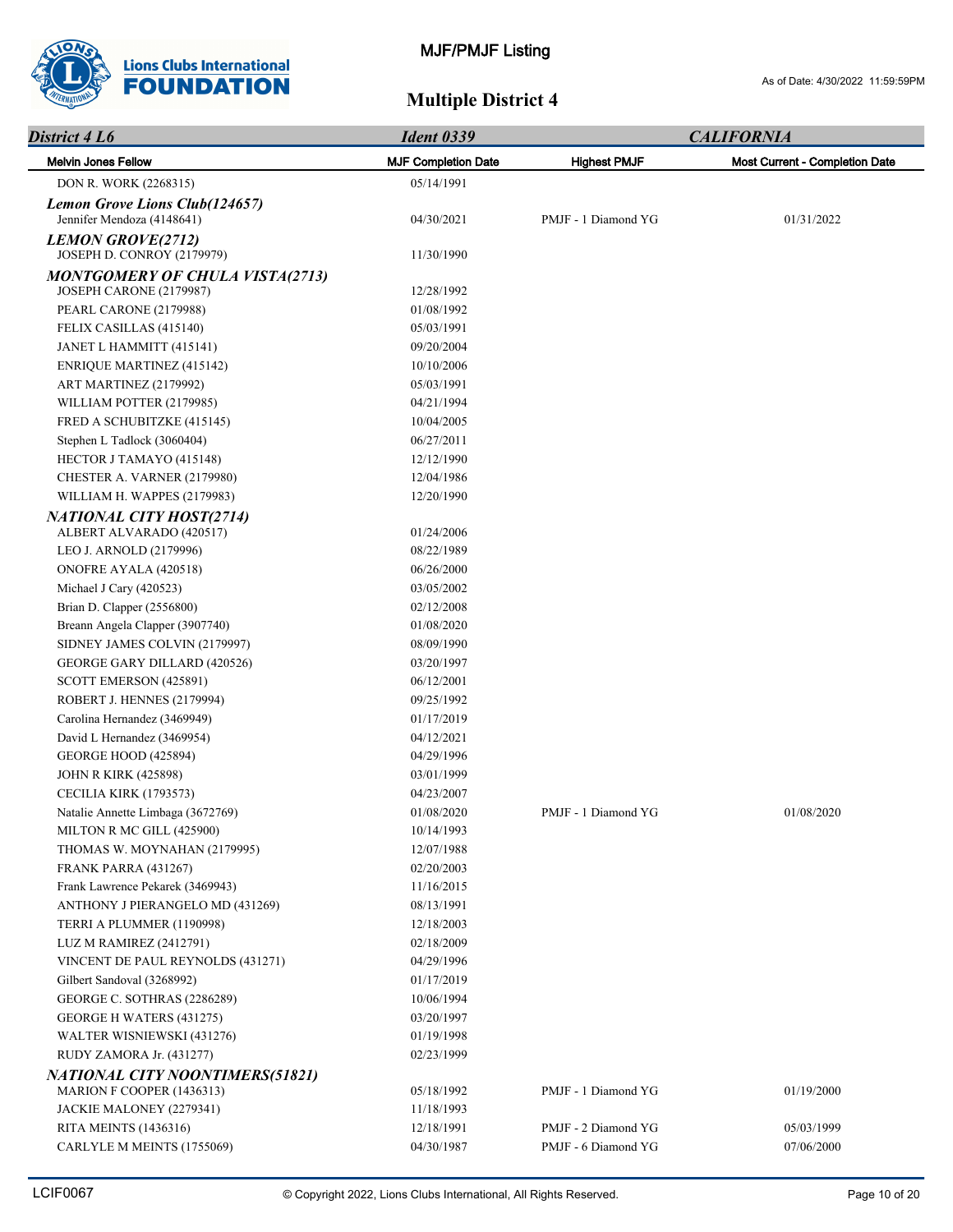

| District 4 L6                                                     | <b>Ident 0339</b>          | <b>CALIFORNIA</b>   |                                       |  |
|-------------------------------------------------------------------|----------------------------|---------------------|---------------------------------------|--|
| <b>Melvin Jones Fellow</b>                                        | <b>MJF Completion Date</b> | <b>Highest PMJF</b> | <b>Most Current - Completion Date</b> |  |
| DON R. WORK (2268315)                                             | 05/14/1991                 |                     |                                       |  |
| Lemon Grove Lions Club(124657)<br>Jennifer Mendoza (4148641)      | 04/30/2021                 | PMJF - 1 Diamond YG | 01/31/2022                            |  |
| <b>LEMON GROVE(2712)</b><br>JOSEPH D. CONROY (2179979)            | 11/30/1990                 |                     |                                       |  |
| <b>MONTGOMERY OF CHULA VISTA(2713)</b><br>JOSEPH CARONE (2179987) | 12/28/1992                 |                     |                                       |  |
| PEARL CARONE (2179988)                                            | 01/08/1992                 |                     |                                       |  |
| FELIX CASILLAS (415140)                                           | 05/03/1991                 |                     |                                       |  |
| JANET L HAMMITT (415141)                                          | 09/20/2004                 |                     |                                       |  |
| <b>ENRIQUE MARTINEZ (415142)</b>                                  | 10/10/2006                 |                     |                                       |  |
| ART MARTINEZ (2179992)                                            | 05/03/1991                 |                     |                                       |  |
| WILLIAM POTTER (2179985)                                          | 04/21/1994                 |                     |                                       |  |
| FRED A SCHUBITZKE (415145)                                        | 10/04/2005                 |                     |                                       |  |
| Stephen L Tadlock (3060404)                                       | 06/27/2011                 |                     |                                       |  |
| HECTOR J TAMAYO (415148)                                          | 12/12/1990                 |                     |                                       |  |
| CHESTER A. VARNER (2179980)                                       | 12/04/1986                 |                     |                                       |  |
| WILLIAM H. WAPPES (2179983)                                       | 12/20/1990                 |                     |                                       |  |
| <b>NATIONAL CITY HOST(2714)</b>                                   |                            |                     |                                       |  |
| ALBERT ALVARADO (420517)                                          | 01/24/2006                 |                     |                                       |  |
| LEO J. ARNOLD (2179996)                                           | 08/22/1989                 |                     |                                       |  |
| ONOFRE AYALA (420518)                                             | 06/26/2000                 |                     |                                       |  |
| Michael J Cary (420523)                                           | 03/05/2002                 |                     |                                       |  |
| Brian D. Clapper (2556800)                                        | 02/12/2008                 |                     |                                       |  |
| Breann Angela Clapper (3907740)                                   | 01/08/2020                 |                     |                                       |  |
| SIDNEY JAMES COLVIN (2179997)                                     | 08/09/1990                 |                     |                                       |  |
| GEORGE GARY DILLARD (420526)                                      | 03/20/1997                 |                     |                                       |  |
| SCOTT EMERSON (425891)                                            | 06/12/2001                 |                     |                                       |  |
| ROBERT J. HENNES (2179994)                                        | 09/25/1992                 |                     |                                       |  |
| Carolina Hernandez (3469949)                                      | 01/17/2019                 |                     |                                       |  |
| David L Hernandez (3469954)                                       | 04/12/2021                 |                     |                                       |  |
| GEORGE HOOD (425894)                                              | 04/29/1996                 |                     |                                       |  |
| <b>JOHN R KIRK (425898)</b>                                       | 03/01/1999                 |                     |                                       |  |
| <b>CECILIA KIRK (1793573)</b>                                     | 04/23/2007                 |                     |                                       |  |
| Natalie Annette Limbaga (3672769)                                 | 01/08/2020                 | PMJF - 1 Diamond YG | 01/08/2020                            |  |
| MILTON R MC GILL (425900)                                         | 10/14/1993                 |                     |                                       |  |
| THOMAS W. MOYNAHAN (2179995)                                      | 12/07/1988                 |                     |                                       |  |
| <b>FRANK PARRA (431267)</b>                                       | 02/20/2003                 |                     |                                       |  |
| Frank Lawrence Pekarek (3469943)                                  | 11/16/2015                 |                     |                                       |  |
| ANTHONY J PIERANGELO MD (431269)                                  | 08/13/1991                 |                     |                                       |  |
| TERRI A PLUMMER (1190998)                                         | 12/18/2003                 |                     |                                       |  |
| LUZ M RAMIREZ (2412791)                                           | 02/18/2009                 |                     |                                       |  |
| VINCENT DE PAUL REYNOLDS (431271)                                 | 04/29/1996                 |                     |                                       |  |
| Gilbert Sandoval (3268992)                                        | 01/17/2019                 |                     |                                       |  |
| GEORGE C. SOTHRAS (2286289)                                       | 10/06/1994                 |                     |                                       |  |
| GEORGE H WATERS (431275)                                          | 03/20/1997                 |                     |                                       |  |
| WALTER WISNIEWSKI (431276)                                        | 01/19/1998                 |                     |                                       |  |
| RUDY ZAMORA Jr. (431277)                                          | 02/23/1999                 |                     |                                       |  |
| NATIONAL CITY NOONTIMERS(51821)                                   |                            |                     |                                       |  |
| MARION F COOPER (1436313)                                         | 05/18/1992                 | PMJF - 1 Diamond YG | 01/19/2000                            |  |
| JACKIE MALONEY (2279341)                                          | 11/18/1993                 |                     |                                       |  |
| <b>RITA MEINTS (1436316)</b>                                      | 12/18/1991                 | PMJF - 2 Diamond YG | 05/03/1999                            |  |
| CARLYLE M MEINTS (1755069)                                        | 04/30/1987                 | PMJF - 6 Diamond YG | 07/06/2000                            |  |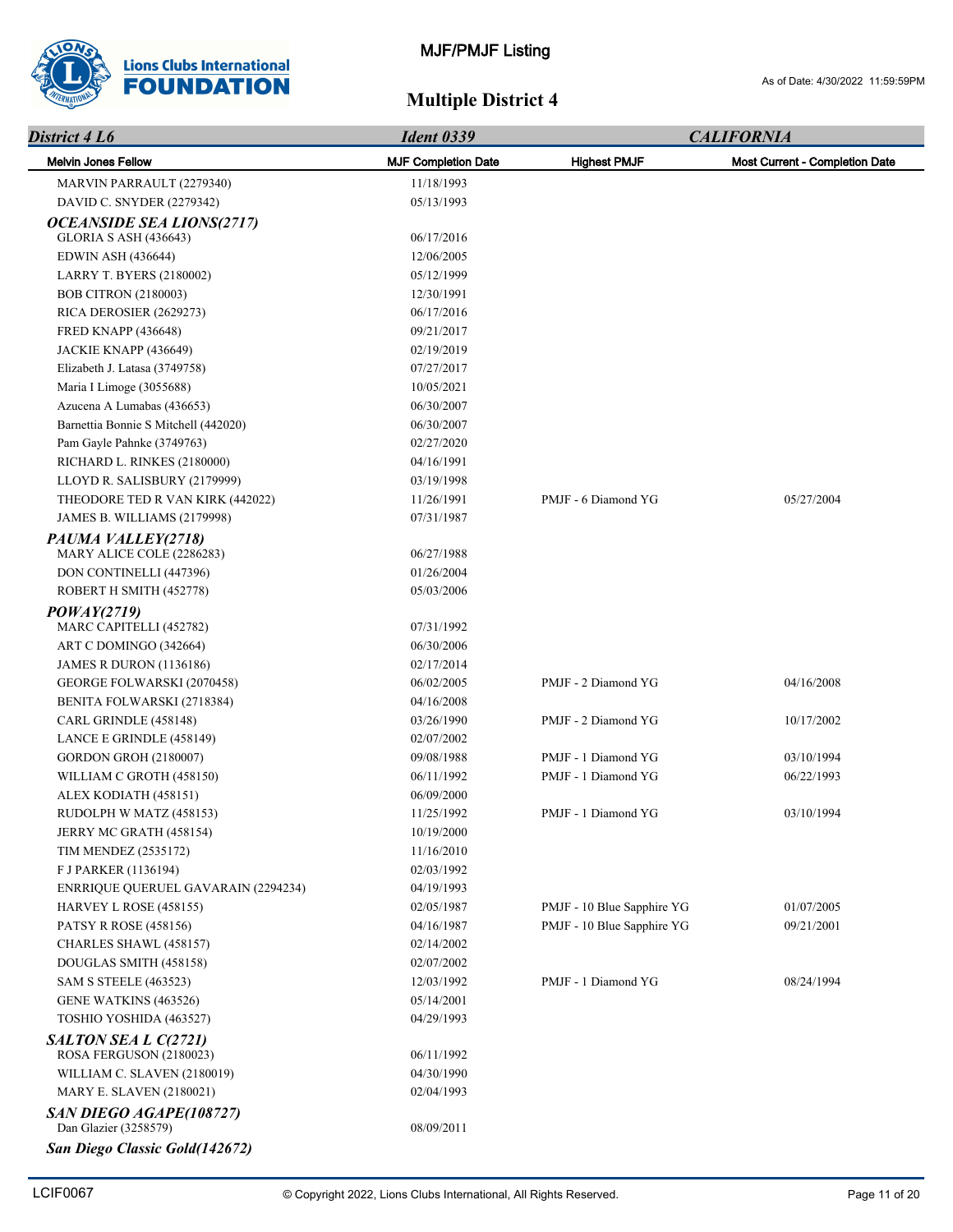

| District 4 L6                                   | <b>Ident 0339</b>          |                            | <b>CALIFORNIA</b>                     |
|-------------------------------------------------|----------------------------|----------------------------|---------------------------------------|
| <b>Melvin Jones Fellow</b>                      | <b>MJF Completion Date</b> | <b>Highest PMJF</b>        | <b>Most Current - Completion Date</b> |
| MARVIN PARRAULT (2279340)                       | 11/18/1993                 |                            |                                       |
| DAVID C. SNYDER (2279342)                       | 05/13/1993                 |                            |                                       |
| <b>OCEANSIDE SEA LIONS(2717)</b>                |                            |                            |                                       |
| <b>GLORIA S ASH (436643)</b>                    | 06/17/2016                 |                            |                                       |
| <b>EDWIN ASH (436644)</b>                       | 12/06/2005                 |                            |                                       |
| <b>LARRY T. BYERS (2180002)</b>                 | 05/12/1999                 |                            |                                       |
| <b>BOB CITRON (2180003)</b>                     | 12/30/1991                 |                            |                                       |
| RICA DEROSIER (2629273)                         | 06/17/2016                 |                            |                                       |
| <b>FRED KNAPP (436648)</b>                      | 09/21/2017                 |                            |                                       |
| JACKIE KNAPP (436649)                           | 02/19/2019                 |                            |                                       |
| Elizabeth J. Latasa (3749758)                   | 07/27/2017                 |                            |                                       |
| Maria I Limoge (3055688)                        | 10/05/2021                 |                            |                                       |
| Azucena A Lumabas (436653)                      | 06/30/2007                 |                            |                                       |
| Barnettia Bonnie S Mitchell (442020)            | 06/30/2007                 |                            |                                       |
| Pam Gayle Pahnke (3749763)                      | 02/27/2020                 |                            |                                       |
| RICHARD L. RINKES (2180000)                     | 04/16/1991                 |                            |                                       |
| LLOYD R. SALISBURY (2179999)                    | 03/19/1998                 |                            |                                       |
| THEODORE TED R VAN KIRK (442022)                | 11/26/1991                 | PMJF - 6 Diamond YG        | 05/27/2004                            |
| JAMES B. WILLIAMS (2179998)                     | 07/31/1987                 |                            |                                       |
| PAUMA VALLEY(2718)                              |                            |                            |                                       |
| MARY ALICE COLE (2286283)                       | 06/27/1988                 |                            |                                       |
| DON CONTINELLI (447396)                         | 01/26/2004                 |                            |                                       |
| ROBERT H SMITH (452778)                         | 05/03/2006                 |                            |                                       |
| POWAY(2719)                                     |                            |                            |                                       |
| MARC CAPITELLI (452782)                         | 07/31/1992                 |                            |                                       |
| ART C DOMINGO (342664)                          | 06/30/2006                 |                            |                                       |
| <b>JAMES R DURON (1136186)</b>                  | 02/17/2014                 |                            |                                       |
| GEORGE FOLWARSKI (2070458)                      | 06/02/2005                 | PMJF - 2 Diamond YG        | 04/16/2008                            |
| BENITA FOLWARSKI (2718384)                      | 04/16/2008                 |                            |                                       |
| CARL GRINDLE (458148)                           | 03/26/1990                 | PMJF - 2 Diamond YG        | 10/17/2002                            |
| LANCE E GRINDLE (458149)                        | 02/07/2002                 |                            |                                       |
| <b>GORDON GROH (2180007)</b>                    | 09/08/1988                 | PMJF - 1 Diamond YG        | 03/10/1994                            |
| WILLIAM C GROTH (458150)                        | 06/11/1992                 | PMJF - 1 Diamond YG        | 06/22/1993                            |
| ALEX KODIATH (458151)                           | 06/09/2000                 |                            |                                       |
| RUDOLPH W MATZ (458153)                         | 11/25/1992                 | PMJF - 1 Diamond YG        | 03/10/1994                            |
| JERRY MC GRATH (458154)                         | 10/19/2000                 |                            |                                       |
| <b>TIM MENDEZ (2535172)</b>                     | 11/16/2010                 |                            |                                       |
| F J PARKER (1136194)                            | 02/03/1992                 |                            |                                       |
| ENRRIQUE QUERUEL GAVARAIN (2294234)             | 04/19/1993                 |                            |                                       |
| HARVEY L ROSE (458155)                          | 02/05/1987                 | PMJF - 10 Blue Sapphire YG | 01/07/2005                            |
| <b>PATSY R ROSE (458156)</b>                    | 04/16/1987                 | PMJF - 10 Blue Sapphire YG | 09/21/2001                            |
| CHARLES SHAWL (458157)                          | 02/14/2002                 |                            |                                       |
| DOUGLAS SMITH (458158)                          | 02/07/2002                 | PMJF - 1 Diamond YG        |                                       |
| <b>SAM S STEELE (463523)</b>                    | 12/03/1992<br>05/14/2001   |                            | 08/24/1994                            |
| GENE WATKINS (463526)                           | 04/29/1993                 |                            |                                       |
| TOSHIO YOSHIDA (463527)                         |                            |                            |                                       |
| SALTON SEA L C(2721)<br>ROSA FERGUSON (2180023) | 06/11/1992                 |                            |                                       |
| WILLIAM C. SLAVEN (2180019)                     | 04/30/1990                 |                            |                                       |
| <b>MARY E. SLAVEN (2180021)</b>                 | 02/04/1993                 |                            |                                       |
| SAN DIEGO AGAPE(108727)                         |                            |                            |                                       |
| Dan Glazier (3258579)                           | 08/09/2011                 |                            |                                       |
| San Diego Classic Gold(142672)                  |                            |                            |                                       |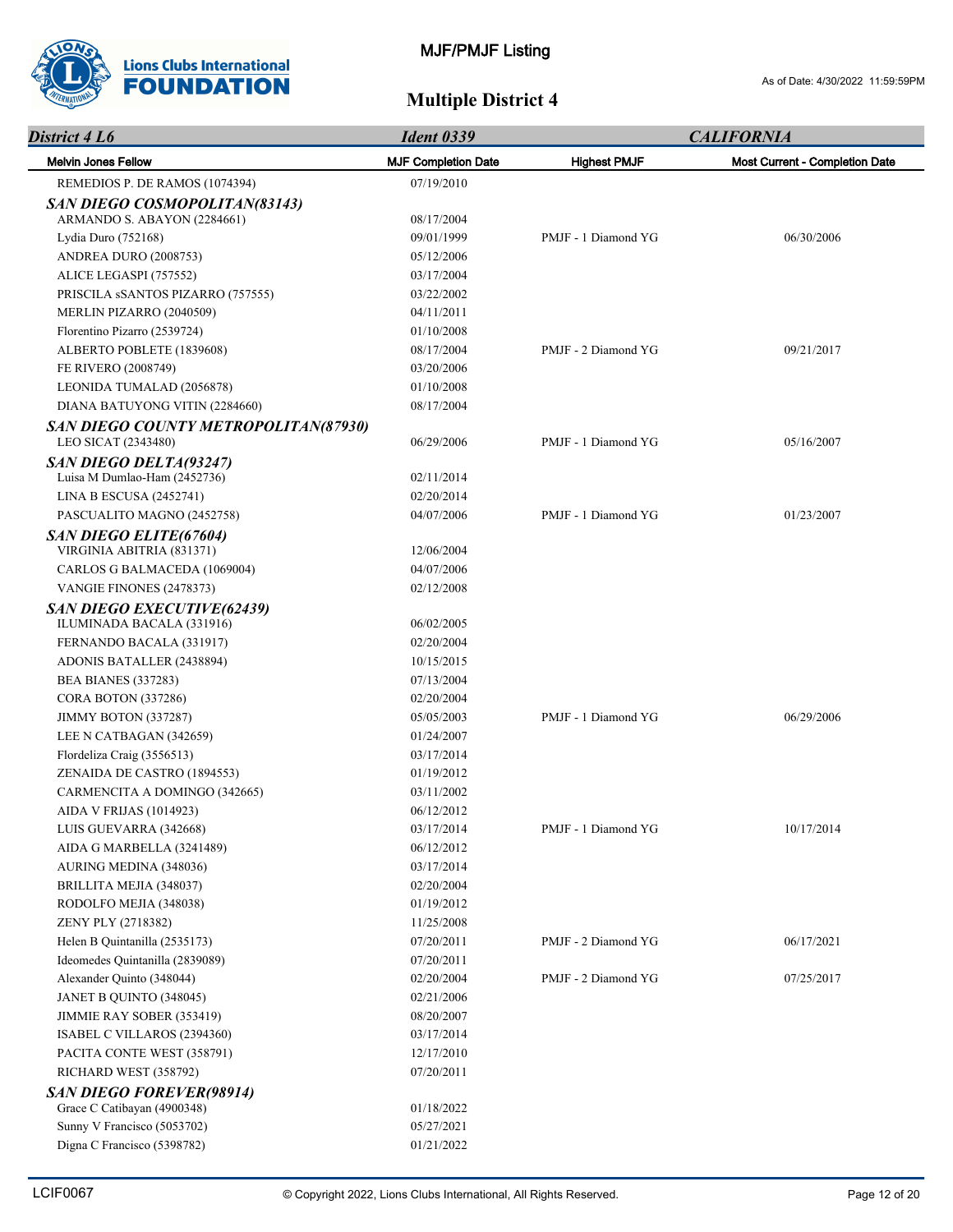

| District 4 L6                                                   | <b>Ident 0339</b>          |                     | <b>CALIFORNIA</b>                     |  |
|-----------------------------------------------------------------|----------------------------|---------------------|---------------------------------------|--|
| <b>Melvin Jones Fellow</b>                                      | <b>MJF Completion Date</b> | <b>Highest PMJF</b> | <b>Most Current - Completion Date</b> |  |
| REMEDIOS P. DE RAMOS (1074394)                                  | 07/19/2010                 |                     |                                       |  |
| SAN DIEGO COSMOPOLITAN(83143)                                   |                            |                     |                                       |  |
| ARMANDO S. ABAYON (2284661)                                     | 08/17/2004                 |                     |                                       |  |
| Lydia Duro (752168)                                             | 09/01/1999                 | PMJF - 1 Diamond YG | 06/30/2006                            |  |
| ANDREA DURO (2008753)                                           | 05/12/2006                 |                     |                                       |  |
| ALICE LEGASPI (757552)                                          | 03/17/2004                 |                     |                                       |  |
| PRISCILA SSANTOS PIZARRO (757555)                               | 03/22/2002                 |                     |                                       |  |
| MERLIN PIZARRO (2040509)                                        | 04/11/2011                 |                     |                                       |  |
| Florentino Pizarro (2539724)                                    | 01/10/2008                 |                     |                                       |  |
| ALBERTO POBLETE (1839608)                                       | 08/17/2004                 | PMJF - 2 Diamond YG | 09/21/2017                            |  |
| FE RIVERO (2008749)                                             | 03/20/2006                 |                     |                                       |  |
| LEONIDA TUMALAD (2056878)                                       | 01/10/2008                 |                     |                                       |  |
| DIANA BATUYONG VITIN (2284660)                                  | 08/17/2004                 |                     |                                       |  |
| SAN DIEGO COUNTY METROPOLITAN(87930)<br>LEO SICAT (2343480)     | 06/29/2006                 | PMJF - 1 Diamond YG | 05/16/2007                            |  |
| <b>SAN DIEGO DELTA(93247)</b>                                   |                            |                     |                                       |  |
| Luisa M Dumlao-Ham (2452736)                                    | 02/11/2014                 |                     |                                       |  |
| LINA B ESCUSA (2452741)                                         | 02/20/2014                 |                     |                                       |  |
| PASCUALITO MAGNO (2452758)                                      | 04/07/2006                 | PMJF - 1 Diamond YG | 01/23/2007                            |  |
| SAN DIEGO ELITE(67604)                                          |                            |                     |                                       |  |
| VIRGINIA ABITRIA (831371)                                       | 12/06/2004                 |                     |                                       |  |
| CARLOS G BALMACEDA (1069004)                                    | 04/07/2006                 |                     |                                       |  |
| VANGIE FINONES (2478373)                                        | 02/12/2008                 |                     |                                       |  |
| SAN DIEGO EXECUTIVE(62439)                                      |                            |                     |                                       |  |
| ILUMINADA BACALA (331916)                                       | 06/02/2005                 |                     |                                       |  |
| FERNANDO BACALA (331917)                                        | 02/20/2004                 |                     |                                       |  |
| ADONIS BATALLER (2438894)                                       | 10/15/2015                 |                     |                                       |  |
| <b>BEA BIANES (337283)</b>                                      | 07/13/2004                 |                     |                                       |  |
| CORA BOTON (337286)                                             | 02/20/2004                 |                     |                                       |  |
| JIMMY BOTON (337287)                                            | 05/05/2003                 | PMJF - 1 Diamond YG | 06/29/2006                            |  |
| LEE N CATBAGAN (342659)                                         | 01/24/2007                 |                     |                                       |  |
| Flordeliza Craig (3556513)                                      | 03/17/2014                 |                     |                                       |  |
| ZENAIDA DE CASTRO (1894553)                                     | 01/19/2012                 |                     |                                       |  |
| CARMENCITA A DOMINGO (342665)<br><b>AIDA V FRIJAS (1014923)</b> | 03/11/2002                 |                     |                                       |  |
|                                                                 | 06/12/2012                 |                     |                                       |  |
| LUIS GUEVARRA (342668)                                          | 03/17/2014<br>06/12/2012   | PMJF - 1 Diamond YG | 10/17/2014                            |  |
| AIDA G MARBELLA (3241489)                                       | 03/17/2014                 |                     |                                       |  |
| AURING MEDINA (348036)                                          | 02/20/2004                 |                     |                                       |  |
| BRILLITA MEJIA (348037)                                         | 01/19/2012                 |                     |                                       |  |
| RODOLFO MEJIA (348038)<br>ZENY PLY (2718382)                    | 11/25/2008                 |                     |                                       |  |
| Helen B Quintanilla (2535173)                                   | 07/20/2011                 | PMJF - 2 Diamond YG | 06/17/2021                            |  |
| Ideomedes Quintanilla (2839089)                                 | 07/20/2011                 |                     |                                       |  |
| Alexander Quinto (348044)                                       | 02/20/2004                 | PMJF - 2 Diamond YG | 07/25/2017                            |  |
|                                                                 |                            |                     |                                       |  |
| JANET B QUINTO (348045)                                         | 02/21/2006                 |                     |                                       |  |
| JIMMIE RAY SOBER (353419)<br>ISABEL C VILLAROS (2394360)        | 08/20/2007<br>03/17/2014   |                     |                                       |  |
|                                                                 |                            |                     |                                       |  |
| PACITA CONTE WEST (358791)<br>RICHARD WEST (358792)             | 12/17/2010<br>07/20/2011   |                     |                                       |  |
|                                                                 |                            |                     |                                       |  |
| SAN DIEGO FOREVER(98914)<br>Grace C Catibayan (4900348)         | 01/18/2022                 |                     |                                       |  |
| Sunny V Francisco (5053702)                                     | 05/27/2021                 |                     |                                       |  |
| Digna C Francisco (5398782)                                     | 01/21/2022                 |                     |                                       |  |
|                                                                 |                            |                     |                                       |  |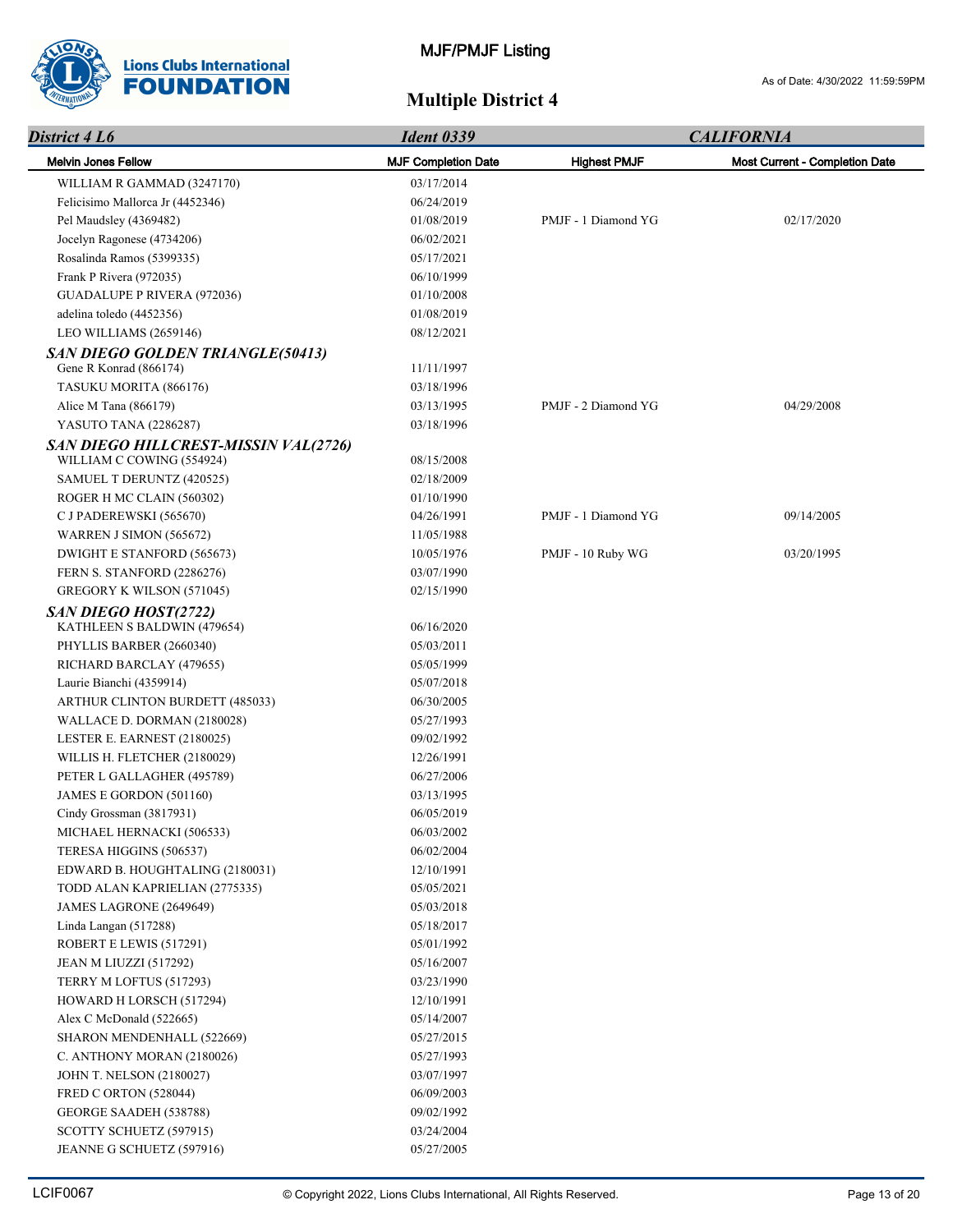

| District 4 L6                           | <b>Ident 0339</b>          | <b>CALIFORNIA</b>   |                                |  |
|-----------------------------------------|----------------------------|---------------------|--------------------------------|--|
| <b>Melvin Jones Fellow</b>              | <b>MJF Completion Date</b> | <b>Highest PMJF</b> | Most Current - Completion Date |  |
| WILLIAM R GAMMAD (3247170)              | 03/17/2014                 |                     |                                |  |
| Felicisimo Mallorca Jr (4452346)        | 06/24/2019                 |                     |                                |  |
| Pel Maudsley (4369482)                  | 01/08/2019                 | PMJF - 1 Diamond YG | 02/17/2020                     |  |
| Jocelyn Ragonese (4734206)              | 06/02/2021                 |                     |                                |  |
| Rosalinda Ramos (5399335)               | 05/17/2021                 |                     |                                |  |
| Frank P Rivera (972035)                 | 06/10/1999                 |                     |                                |  |
| <b>GUADALUPE P RIVERA (972036)</b>      | 01/10/2008                 |                     |                                |  |
| adelina toledo (4452356)                | 01/08/2019                 |                     |                                |  |
| LEO WILLIAMS (2659146)                  | 08/12/2021                 |                     |                                |  |
| <b>SAN DIEGO GOLDEN TRIANGLE(50413)</b> |                            |                     |                                |  |
| Gene R Konrad (866174)                  | 11/11/1997                 |                     |                                |  |
| TASUKU MORITA (866176)                  | 03/18/1996                 |                     |                                |  |
| Alice M Tana (866179)                   | 03/13/1995                 | PMJF - 2 Diamond YG | 04/29/2008                     |  |
| YASUTO TANA (2286287)                   | 03/18/1996                 |                     |                                |  |
| SAN DIEGO HILLCREST-MISSIN VAL(2726)    |                            |                     |                                |  |
| WILLIAM C COWING (554924)               | 08/15/2008                 |                     |                                |  |
| SAMUEL T DERUNTZ (420525)               | 02/18/2009                 |                     |                                |  |
| ROGER H MC CLAIN (560302)               | 01/10/1990                 |                     |                                |  |
| C J PADEREWSKI (565670)                 | 04/26/1991                 | PMJF - 1 Diamond YG | 09/14/2005                     |  |
| WARREN J SIMON (565672)                 | 11/05/1988                 |                     |                                |  |
| DWIGHT E STANFORD (565673)              | 10/05/1976                 | PMJF - 10 Ruby WG   | 03/20/1995                     |  |
| FERN S. STANFORD (2286276)              | 03/07/1990                 |                     |                                |  |
| GREGORY K WILSON (571045)               | 02/15/1990                 |                     |                                |  |
| SAN DIEGO HOST(2722)                    |                            |                     |                                |  |
| KATHLEEN S BALDWIN (479654)             | 06/16/2020                 |                     |                                |  |
| PHYLLIS BARBER (2660340)                | 05/03/2011                 |                     |                                |  |
| RICHARD BARCLAY (479655)                | 05/05/1999                 |                     |                                |  |
| Laurie Bianchi (4359914)                | 05/07/2018                 |                     |                                |  |
| ARTHUR CLINTON BURDETT (485033)         | 06/30/2005                 |                     |                                |  |
| WALLACE D. DORMAN (2180028)             | 05/27/1993                 |                     |                                |  |
| LESTER E. EARNEST (2180025)             | 09/02/1992                 |                     |                                |  |
| WILLIS H. FLETCHER (2180029)            | 12/26/1991                 |                     |                                |  |
| PETER L GALLAGHER (495789)              | 06/27/2006                 |                     |                                |  |
| JAMES E GORDON (501160)                 | 03/13/1995                 |                     |                                |  |
| Cindy Grossman (3817931)                | 06/05/2019                 |                     |                                |  |
| MICHAEL HERNACKI (506533)               | 06/03/2002                 |                     |                                |  |
| TERESA HIGGINS (506537)                 | 06/02/2004                 |                     |                                |  |
| EDWARD B. HOUGHTALING (2180031)         | 12/10/1991                 |                     |                                |  |
| TODD ALAN KAPRIELIAN (2775335)          | 05/05/2021                 |                     |                                |  |
| JAMES LAGRONE (2649649)                 | 05/03/2018                 |                     |                                |  |
| Linda Langan (517288)                   | 05/18/2017                 |                     |                                |  |
| ROBERT E LEWIS (517291)                 | 05/01/1992                 |                     |                                |  |
| JEAN M LIUZZI (517292)                  | 05/16/2007                 |                     |                                |  |
| TERRY M LOFTUS (517293)                 | 03/23/1990                 |                     |                                |  |
| HOWARD H LORSCH (517294)                | 12/10/1991                 |                     |                                |  |
| Alex C McDonald (522665)                | 05/14/2007                 |                     |                                |  |
| SHARON MENDENHALL (522669)              | 05/27/2015                 |                     |                                |  |
| C. ANTHONY MORAN (2180026)              | 05/27/1993                 |                     |                                |  |
| <b>JOHN T. NELSON (2180027)</b>         | 03/07/1997                 |                     |                                |  |
| FRED C ORTON (528044)                   | 06/09/2003                 |                     |                                |  |
| GEORGE SAADEH (538788)                  | 09/02/1992                 |                     |                                |  |
| SCOTTY SCHUETZ (597915)                 | 03/24/2004                 |                     |                                |  |
| JEANNE G SCHUETZ (597916)               | 05/27/2005                 |                     |                                |  |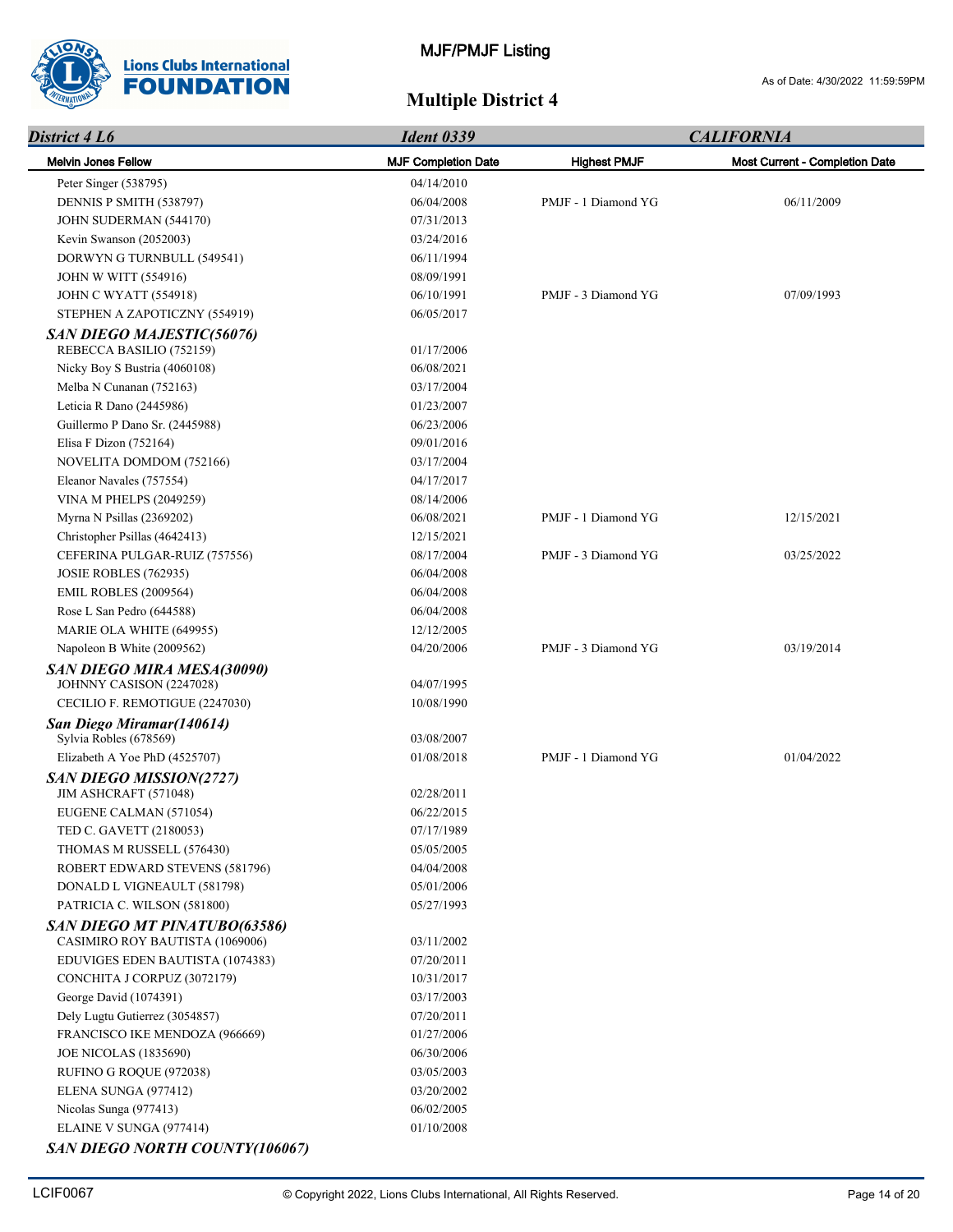

| District 4 L6                                                   | <b>Ident 0339</b>          | <b>CALIFORNIA</b>   |                                       |  |
|-----------------------------------------------------------------|----------------------------|---------------------|---------------------------------------|--|
| <b>Melvin Jones Fellow</b>                                      | <b>MJF Completion Date</b> | <b>Highest PMJF</b> | <b>Most Current - Completion Date</b> |  |
| Peter Singer (538795)                                           | 04/14/2010                 |                     |                                       |  |
| DENNIS P SMITH (538797)                                         | 06/04/2008                 | PMJF - 1 Diamond YG | 06/11/2009                            |  |
| JOHN SUDERMAN (544170)                                          | 07/31/2013                 |                     |                                       |  |
| Kevin Swanson (2052003)                                         | 03/24/2016                 |                     |                                       |  |
| DORWYN G TURNBULL (549541)                                      | 06/11/1994                 |                     |                                       |  |
| <b>JOHN W WITT (554916)</b>                                     | 08/09/1991                 |                     |                                       |  |
| <b>JOHN C WYATT (554918)</b>                                    | 06/10/1991                 | PMJF - 3 Diamond YG | 07/09/1993                            |  |
| STEPHEN A ZAPOTICZNY (554919)                                   | 06/05/2017                 |                     |                                       |  |
| SAN DIEGO MAJESTIC(56076)                                       |                            |                     |                                       |  |
| REBECCA BASILIO (752159)                                        | 01/17/2006                 |                     |                                       |  |
| Nicky Boy S Bustria (4060108)                                   | 06/08/2021                 |                     |                                       |  |
| Melba N Cunanan (752163)                                        | 03/17/2004                 |                     |                                       |  |
| Leticia R Dano (2445986)                                        | 01/23/2007                 |                     |                                       |  |
| Guillermo P Dano Sr. (2445988)                                  | 06/23/2006                 |                     |                                       |  |
| Elisa F Dizon (752164)                                          | 09/01/2016                 |                     |                                       |  |
| NOVELITA DOMDOM (752166)                                        | 03/17/2004                 |                     |                                       |  |
| Eleanor Navales (757554)                                        | 04/17/2017                 |                     |                                       |  |
| <b>VINA M PHELPS (2049259)</b>                                  | 08/14/2006                 |                     |                                       |  |
| Myrna N Psillas (2369202)                                       | 06/08/2021                 | PMJF - 1 Diamond YG | 12/15/2021                            |  |
| Christopher Psillas (4642413)                                   | 12/15/2021                 |                     |                                       |  |
| CEFERINA PULGAR-RUIZ (757556)                                   | 08/17/2004                 | PMJF - 3 Diamond YG | 03/25/2022                            |  |
| <b>JOSIE ROBLES (762935)</b>                                    | 06/04/2008                 |                     |                                       |  |
| <b>EMIL ROBLES (2009564)</b>                                    | 06/04/2008                 |                     |                                       |  |
| Rose L San Pedro (644588)                                       | 06/04/2008                 |                     |                                       |  |
| MARIE OLA WHITE (649955)                                        | 12/12/2005                 |                     |                                       |  |
| Napoleon B White (2009562)                                      | 04/20/2006                 | PMJF - 3 Diamond YG | 03/19/2014                            |  |
| <b>SAN DIEGO MIRA MESA(30090)</b>                               |                            |                     |                                       |  |
| JOHNNY CASISON (2247028)                                        | 04/07/1995                 |                     |                                       |  |
| CECILIO F. REMOTIGUE (2247030)                                  | 10/08/1990                 |                     |                                       |  |
| San Diego Miramar(140614)<br>Sylvia Robles (678569)             | 03/08/2007                 |                     |                                       |  |
| Elizabeth A Yoe PhD (4525707)                                   | 01/08/2018                 | PMJF - 1 Diamond YG | 01/04/2022                            |  |
| <b>SAN DIEGO MISSION(2727)</b><br>JIM ASHCRAFT (571048)         | 02/28/2011                 |                     |                                       |  |
| EUGENE CALMAN (571054)                                          | 06/22/2015                 |                     |                                       |  |
| TED C. GAVETT (2180053)                                         | 07/17/1989                 |                     |                                       |  |
| THOMAS M RUSSELL (576430)                                       | 05/05/2005                 |                     |                                       |  |
| ROBERT EDWARD STEVENS (581796)                                  | 04/04/2008                 |                     |                                       |  |
| DONALD L VIGNEAULT (581798)                                     | 05/01/2006                 |                     |                                       |  |
| PATRICIA C. WILSON (581800)                                     | 05/27/1993                 |                     |                                       |  |
| SAN DIEGO MT PINATUBO(63586)<br>CASIMIRO ROY BAUTISTA (1069006) | 03/11/2002                 |                     |                                       |  |
| EDUVIGES EDEN BAUTISTA (1074383)                                | 07/20/2011                 |                     |                                       |  |
| CONCHITA J CORPUZ (3072179)                                     | 10/31/2017                 |                     |                                       |  |
| George David (1074391)                                          | 03/17/2003                 |                     |                                       |  |
| Dely Lugtu Gutierrez (3054857)                                  | 07/20/2011                 |                     |                                       |  |
| FRANCISCO IKE MENDOZA (966669)                                  | 01/27/2006                 |                     |                                       |  |
| <b>JOE NICOLAS (1835690)</b>                                    | 06/30/2006                 |                     |                                       |  |
| RUFINO G ROQUE (972038)                                         | 03/05/2003                 |                     |                                       |  |
| ELENA SUNGA (977412)                                            | 03/20/2002                 |                     |                                       |  |
| Nicolas Sunga (977413)                                          | 06/02/2005                 |                     |                                       |  |
| ELAINE V SUNGA (977414)                                         | 01/10/2008                 |                     |                                       |  |
| <b>SAN DIEGO NORTH COUNTY(106067)</b>                           |                            |                     |                                       |  |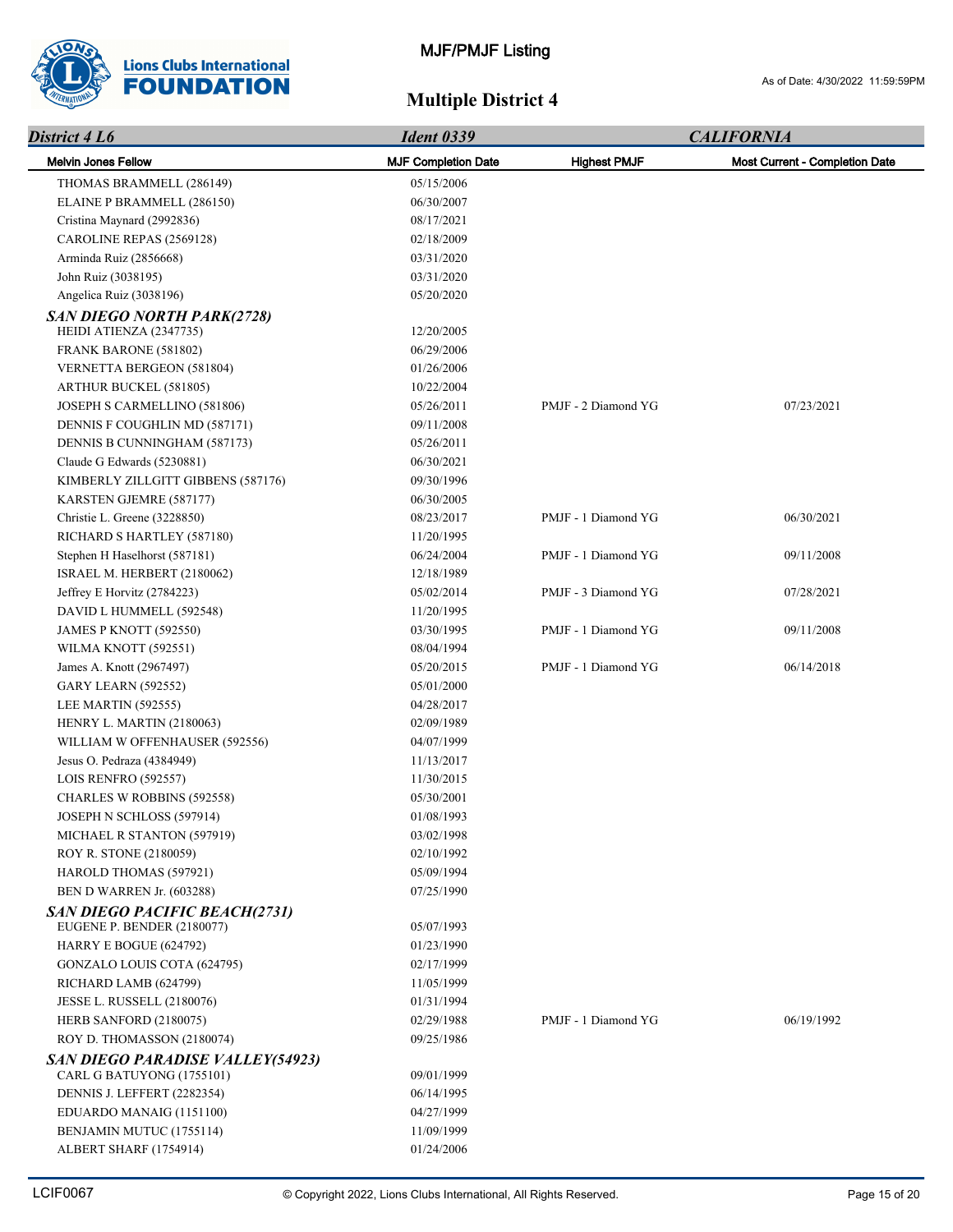

| District 4 L6                                                        | <b>Ident 0339</b>          | <b>CALIFORNIA</b>   |                                |
|----------------------------------------------------------------------|----------------------------|---------------------|--------------------------------|
| <b>Melvin Jones Fellow</b>                                           | <b>MJF Completion Date</b> | <b>Highest PMJF</b> | Most Current - Completion Date |
| THOMAS BRAMMELL (286149)                                             | 05/15/2006                 |                     |                                |
| ELAINE P BRAMMELL (286150)                                           | 06/30/2007                 |                     |                                |
| Cristina Maynard (2992836)                                           | 08/17/2021                 |                     |                                |
| CAROLINE REPAS (2569128)                                             | 02/18/2009                 |                     |                                |
| Arminda Ruiz (2856668)                                               | 03/31/2020                 |                     |                                |
| John Ruiz (3038195)                                                  | 03/31/2020                 |                     |                                |
| Angelica Ruiz (3038196)                                              | 05/20/2020                 |                     |                                |
| <b>SAN DIEGO NORTH PARK(2728)</b>                                    |                            |                     |                                |
| HEIDI ATIENZA (2347735)                                              | 12/20/2005                 |                     |                                |
| FRANK BARONE (581802)                                                | 06/29/2006                 |                     |                                |
| VERNETTA BERGEON (581804)                                            | 01/26/2006                 |                     |                                |
| ARTHUR BUCKEL (581805)                                               | 10/22/2004                 |                     |                                |
| JOSEPH S CARMELLINO (581806)                                         | 05/26/2011                 | PMJF - 2 Diamond YG | 07/23/2021                     |
| DENNIS F COUGHLIN MD (587171)                                        | 09/11/2008                 |                     |                                |
| DENNIS B CUNNINGHAM (587173)                                         | 05/26/2011                 |                     |                                |
| Claude G Edwards (5230881)                                           | 06/30/2021                 |                     |                                |
| KIMBERLY ZILLGITT GIBBENS (587176)                                   | 09/30/1996                 |                     |                                |
| KARSTEN GJEMRE (587177)                                              | 06/30/2005                 |                     |                                |
| Christie L. Greene (3228850)                                         | 08/23/2017                 | PMJF - 1 Diamond YG | 06/30/2021                     |
| RICHARD S HARTLEY (587180)                                           | 11/20/1995                 |                     |                                |
| Stephen H Haselhorst (587181)                                        | 06/24/2004                 | PMJF - 1 Diamond YG | 09/11/2008                     |
| ISRAEL M. HERBERT (2180062)                                          | 12/18/1989                 |                     |                                |
| Jeffrey E Horvitz (2784223)                                          | 05/02/2014                 | PMJF - 3 Diamond YG | 07/28/2021                     |
| DAVID L HUMMELL (592548)                                             | 11/20/1995                 |                     |                                |
| JAMES P KNOTT (592550)                                               | 03/30/1995                 | PMJF - 1 Diamond YG | 09/11/2008                     |
| WILMA KNOTT (592551)                                                 | 08/04/1994                 |                     |                                |
| James A. Knott (2967497)                                             | 05/20/2015                 | PMJF - 1 Diamond YG | 06/14/2018                     |
| <b>GARY LEARN (592552)</b>                                           | 05/01/2000                 |                     |                                |
| LEE MARTIN (592555)                                                  | 04/28/2017                 |                     |                                |
| HENRY L. MARTIN (2180063)                                            | 02/09/1989                 |                     |                                |
| WILLIAM W OFFENHAUSER (592556)                                       | 04/07/1999                 |                     |                                |
| Jesus O. Pedraza (4384949)                                           | 11/13/2017                 |                     |                                |
| LOIS RENFRO (592557)                                                 | 11/30/2015                 |                     |                                |
| CHARLES W ROBBINS (592558)                                           | 05/30/2001                 |                     |                                |
| JOSEPH N SCHLOSS (597914)                                            | 01/08/1993                 |                     |                                |
| MICHAEL R STANTON (597919)                                           | 03/02/1998                 |                     |                                |
| ROY R. STONE (2180059)                                               | 02/10/1992                 |                     |                                |
| HAROLD THOMAS (597921)                                               | 05/09/1994                 |                     |                                |
| BEN D WARREN Jr. (603288)                                            | 07/25/1990                 |                     |                                |
| <b>SAN DIEGO PACIFIC BEACH(2731)</b>                                 |                            |                     |                                |
| EUGENE P. BENDER (2180077)                                           | 05/07/1993                 |                     |                                |
| HARRY E BOGUE (624792)                                               | 01/23/1990                 |                     |                                |
| GONZALO LOUIS COTA (624795)                                          | 02/17/1999                 |                     |                                |
| RICHARD LAMB (624799)                                                | 11/05/1999                 |                     |                                |
| JESSE L. RUSSELL (2180076)                                           | 01/31/1994                 |                     |                                |
| HERB SANFORD (2180075)                                               | 02/29/1988                 | PMJF - 1 Diamond YG | 06/19/1992                     |
| ROY D. THOMASSON (2180074)                                           | 09/25/1986                 |                     |                                |
| <b>SAN DIEGO PARADISE VALLEY(54923)</b><br>CARL G BATUYONG (1755101) | 09/01/1999                 |                     |                                |
| DENNIS J. LEFFERT (2282354)                                          | 06/14/1995                 |                     |                                |
| EDUARDO MANAIG (1151100)                                             | 04/27/1999                 |                     |                                |
| BENJAMIN MUTUC (1755114)                                             | 11/09/1999                 |                     |                                |
| ALBERT SHARF (1754914)                                               | 01/24/2006                 |                     |                                |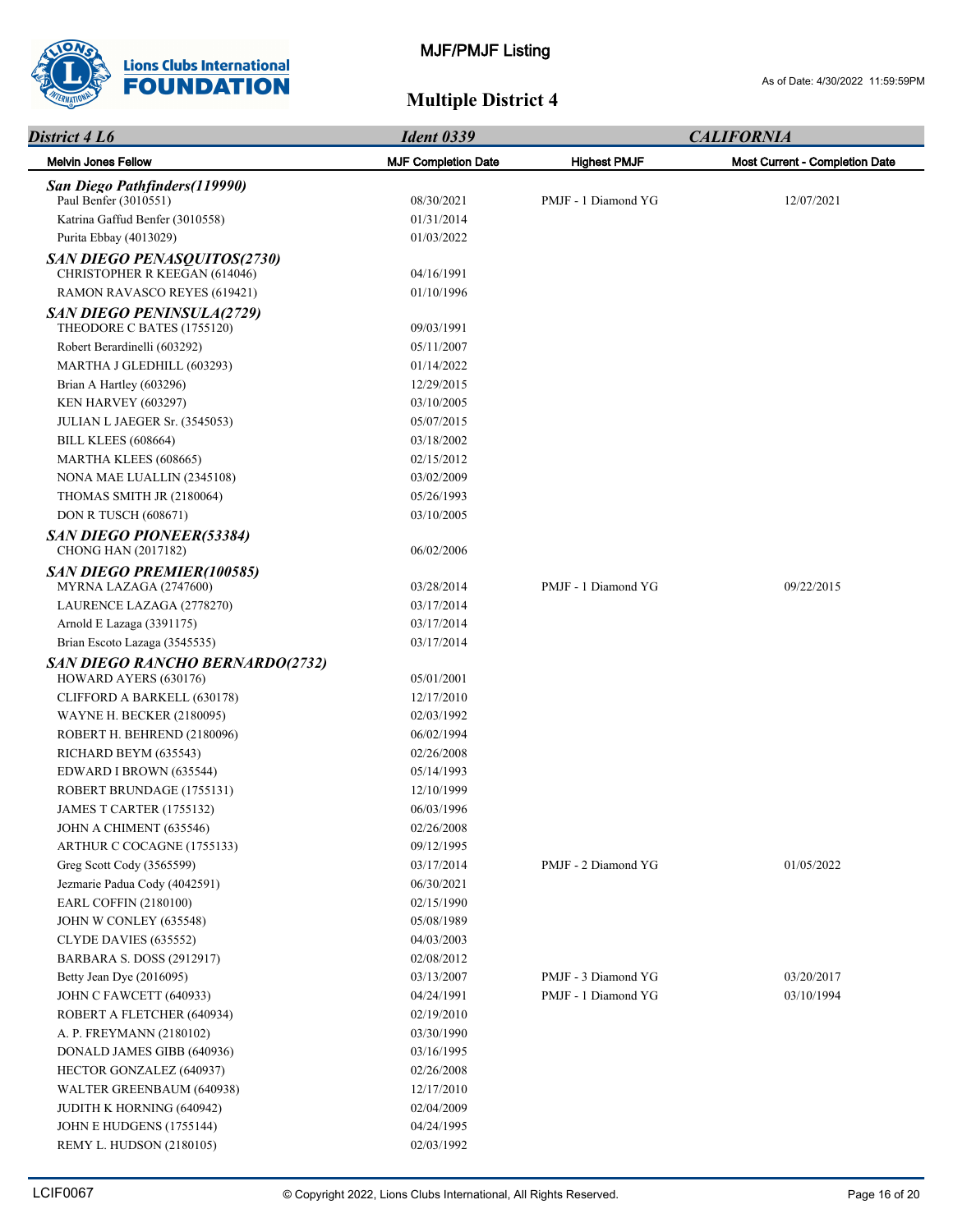

| <b>District 4 L6</b>                                           | <b>Ident 0339</b>          |                     | <b>CALIFORNIA</b>                     |
|----------------------------------------------------------------|----------------------------|---------------------|---------------------------------------|
| <b>Melvin Jones Fellow</b>                                     | <b>MJF Completion Date</b> | <b>Highest PMJF</b> | <b>Most Current - Completion Date</b> |
| San Diego Pathfinders(119990)                                  |                            |                     |                                       |
| Paul Benfer (3010551)                                          | 08/30/2021                 | PMJF - 1 Diamond YG | 12/07/2021                            |
| Katrina Gaffud Benfer (3010558)                                | 01/31/2014                 |                     |                                       |
| Purita Ebbay (4013029)                                         | 01/03/2022                 |                     |                                       |
| SAN DIEGO PENASQUITOS(2730)<br>CHRISTOPHER R KEEGAN (614046)   | 04/16/1991                 |                     |                                       |
| RAMON RAVASCO REYES (619421)                                   | 01/10/1996                 |                     |                                       |
| <b>SAN DIEGO PENINSULA(2729)</b><br>THEODORE C BATES (1755120) | 09/03/1991                 |                     |                                       |
| Robert Berardinelli (603292)                                   | 05/11/2007                 |                     |                                       |
| MARTHA J GLEDHILL (603293)                                     | 01/14/2022                 |                     |                                       |
| Brian A Hartley (603296)                                       | 12/29/2015                 |                     |                                       |
| KEN HARVEY (603297)                                            | 03/10/2005                 |                     |                                       |
| JULIAN L JAEGER Sr. (3545053)                                  | 05/07/2015                 |                     |                                       |
| <b>BILL KLEES</b> (608664)                                     | 03/18/2002                 |                     |                                       |
| MARTHA KLEES (608665)                                          | 02/15/2012                 |                     |                                       |
| NONA MAE LUALLIN (2345108)                                     | 03/02/2009                 |                     |                                       |
| THOMAS SMITH JR (2180064)                                      | 05/26/1993                 |                     |                                       |
| <b>DON R TUSCH (608671)</b>                                    | 03/10/2005                 |                     |                                       |
|                                                                |                            |                     |                                       |
| <b>SAN DIEGO PIONEER(53384)</b><br><b>CHONG HAN (2017182)</b>  | 06/02/2006                 |                     |                                       |
| SAN DIEGO PREMIER(100585)                                      |                            |                     |                                       |
| MYRNA LAZAGA (2747600)                                         | 03/28/2014                 | PMJF - 1 Diamond YG | 09/22/2015                            |
| LAURENCE LAZAGA (2778270)                                      | 03/17/2014                 |                     |                                       |
| Arnold E Lazaga (3391175)                                      | 03/17/2014                 |                     |                                       |
| Brian Escoto Lazaga (3545535)                                  | 03/17/2014                 |                     |                                       |
| <b>SAN DIEGO RANCHO BERNARDO(2732)</b>                         |                            |                     |                                       |
| HOWARD AYERS (630176)                                          | 05/01/2001                 |                     |                                       |
| CLIFFORD A BARKELL (630178)                                    | 12/17/2010                 |                     |                                       |
| WAYNE H. BECKER (2180095)                                      | 02/03/1992                 |                     |                                       |
| ROBERT H. BEHREND (2180096)                                    | 06/02/1994                 |                     |                                       |
| RICHARD BEYM (635543)                                          | 02/26/2008                 |                     |                                       |
| EDWARD I BROWN (635544)                                        | 05/14/1993                 |                     |                                       |
| ROBERT BRUNDAGE (1755131)                                      | 12/10/1999                 |                     |                                       |
| <b>JAMES T CARTER (1755132)</b>                                | 06/03/1996                 |                     |                                       |
| JOHN A CHIMENT (635546)                                        | 02/26/2008                 |                     |                                       |
| ARTHUR C COCAGNE (1755133)                                     | 09/12/1995                 |                     |                                       |
| Greg Scott Cody (3565599)                                      | 03/17/2014                 | PMJF - 2 Diamond YG | 01/05/2022                            |
| Jezmarie Padua Cody (4042591)                                  | 06/30/2021                 |                     |                                       |
| <b>EARL COFFIN (2180100)</b>                                   | 02/15/1990                 |                     |                                       |
| JOHN W CONLEY (635548)                                         | 05/08/1989                 |                     |                                       |
| CLYDE DAVIES (635552)                                          | 04/03/2003                 |                     |                                       |
| <b>BARBARA S. DOSS (2912917)</b>                               | 02/08/2012                 |                     |                                       |
| Betty Jean Dye (2016095)                                       | 03/13/2007                 | PMJF - 3 Diamond YG | 03/20/2017                            |
| JOHN C FAWCETT (640933)                                        | 04/24/1991                 | PMJF - 1 Diamond YG | 03/10/1994                            |
| ROBERT A FLETCHER (640934)                                     | 02/19/2010                 |                     |                                       |
| A. P. FREYMANN (2180102)                                       | 03/30/1990                 |                     |                                       |
| DONALD JAMES GIBB (640936)                                     | 03/16/1995                 |                     |                                       |
| HECTOR GONZALEZ (640937)                                       | 02/26/2008                 |                     |                                       |
| WALTER GREENBAUM (640938)                                      | 12/17/2010                 |                     |                                       |
| JUDITH K HORNING (640942)                                      | 02/04/2009                 |                     |                                       |
| JOHN E HUDGENS (1755144)                                       | 04/24/1995                 |                     |                                       |
| REMY L. HUDSON (2180105)                                       | 02/03/1992                 |                     |                                       |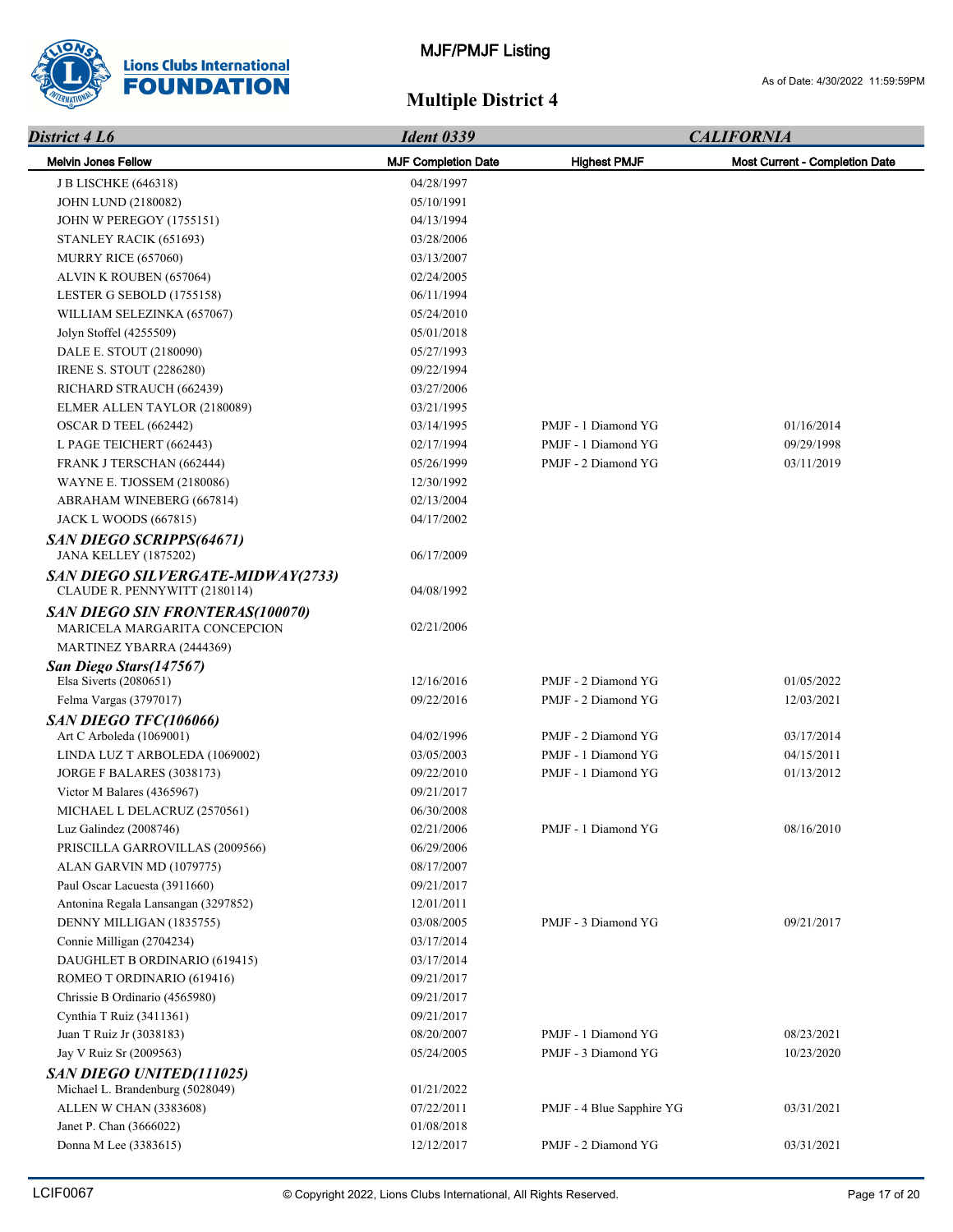

| District 4 L6                                                      | <b>Ident 0339</b>          | <b>CALIFORNIA</b>         |                                |
|--------------------------------------------------------------------|----------------------------|---------------------------|--------------------------------|
| <b>Melvin Jones Fellow</b>                                         | <b>MJF Completion Date</b> | <b>Highest PMJF</b>       | Most Current - Completion Date |
| <b>J B LISCHKE (646318)</b>                                        | 04/28/1997                 |                           |                                |
| <b>JOHN LUND (2180082)</b>                                         | 05/10/1991                 |                           |                                |
| JOHN W PEREGOY (1755151)                                           | 04/13/1994                 |                           |                                |
| STANLEY RACIK (651693)                                             | 03/28/2006                 |                           |                                |
| MURRY RICE (657060)                                                | 03/13/2007                 |                           |                                |
| ALVIN K ROUBEN (657064)                                            | 02/24/2005                 |                           |                                |
| LESTER G SEBOLD (1755158)                                          | 06/11/1994                 |                           |                                |
| WILLIAM SELEZINKA (657067)                                         | 05/24/2010                 |                           |                                |
| Jolyn Stoffel (4255509)                                            | 05/01/2018                 |                           |                                |
| DALE E. STOUT (2180090)                                            | 05/27/1993                 |                           |                                |
| <b>IRENE S. STOUT (2286280)</b>                                    | 09/22/1994                 |                           |                                |
| RICHARD STRAUCH (662439)                                           | 03/27/2006                 |                           |                                |
| ELMER ALLEN TAYLOR (2180089)                                       | 03/21/1995                 |                           |                                |
| OSCAR D TEEL (662442)                                              | 03/14/1995                 | PMJF - 1 Diamond YG       | 01/16/2014                     |
| L PAGE TEICHERT (662443)                                           | 02/17/1994                 | PMJF - 1 Diamond YG       | 09/29/1998                     |
| FRANK J TERSCHAN (662444)                                          | 05/26/1999                 | PMJF - 2 Diamond YG       | 03/11/2019                     |
| WAYNE E. TJOSSEM (2180086)                                         | 12/30/1992                 |                           |                                |
| ABRAHAM WINEBERG (667814)                                          | 02/13/2004                 |                           |                                |
| <b>JACK L WOODS (667815)</b>                                       | 04/17/2002                 |                           |                                |
| SAN DIEGO SCRIPPS(64671)                                           |                            |                           |                                |
| <b>JANA KELLEY (1875202)</b>                                       | 06/17/2009                 |                           |                                |
| SAN DIEGO SILVERGATE-MIDWAY(2733)<br>CLAUDE R. PENNYWITT (2180114) | 04/08/1992                 |                           |                                |
| SAN DIEGO SIN FRONTERAS(100070)<br>MARICELA MARGARITA CONCEPCION   | 02/21/2006                 |                           |                                |
| MARTINEZ YBARRA (2444369)                                          |                            |                           |                                |
| San Diego Stars (147567)<br>Elsa Siverts $(2080651)$               | 12/16/2016                 | PMJF - 2 Diamond YG       | 01/05/2022                     |
| Felma Vargas (3797017)                                             | 09/22/2016                 | PMJF - 2 Diamond YG       | 12/03/2021                     |
| SAN DIEGO TFC(106066)                                              |                            |                           |                                |
| Art C Arboleda (1069001)                                           | 04/02/1996                 | PMJF - 2 Diamond YG       | 03/17/2014                     |
| LINDA LUZ T ARBOLEDA (1069002)                                     | 03/05/2003                 | PMJF - 1 Diamond YG       | 04/15/2011                     |
| JORGE F BALARES (3038173)                                          | 09/22/2010                 | PMJF - 1 Diamond YG       | 01/13/2012                     |
| Victor M Balares (4365967)                                         | 09/21/2017                 |                           |                                |
| MICHAEL L DELACRUZ (2570561)                                       | 06/30/2008                 |                           |                                |
| Luz Galindez (2008746)                                             | 02/21/2006                 | PMJF - 1 Diamond YG       | 08/16/2010                     |
| PRISCILLA GARROVILLAS (2009566)                                    | 06/29/2006                 |                           |                                |
| ALAN GARVIN MD (1079775)                                           | 08/17/2007                 |                           |                                |
| Paul Oscar Lacuesta (3911660)                                      | 09/21/2017                 |                           |                                |
| Antonina Regala Lansangan (3297852)                                | 12/01/2011                 |                           |                                |
| DENNY MILLIGAN (1835755)                                           | 03/08/2005                 | PMJF - 3 Diamond YG       | 09/21/2017                     |
| Connie Milligan (2704234)                                          | 03/17/2014                 |                           |                                |
| DAUGHLET B ORDINARIO (619415)                                      | 03/17/2014                 |                           |                                |
| ROMEO T ORDINARIO (619416)                                         | 09/21/2017                 |                           |                                |
| Chrissie B Ordinario (4565980)                                     | 09/21/2017                 |                           |                                |
| Cynthia T Ruiz (3411361)                                           | 09/21/2017                 |                           |                                |
| Juan T Ruiz Jr (3038183)                                           | 08/20/2007                 | PMJF - 1 Diamond YG       | 08/23/2021                     |
| Jay V Ruiz Sr (2009563)                                            | 05/24/2005                 | PMJF - 3 Diamond YG       | 10/23/2020                     |
| SAN DIEGO UNITED(111025)                                           |                            |                           |                                |
| Michael L. Brandenburg (5028049)                                   | 01/21/2022                 |                           |                                |
| ALLEN W CHAN (3383608)                                             | 07/22/2011                 | PMJF - 4 Blue Sapphire YG | 03/31/2021                     |
| Janet P. Chan (3666022)                                            | 01/08/2018                 |                           |                                |
| Donna M Lee (3383615)                                              | 12/12/2017                 | PMJF - 2 Diamond YG       | 03/31/2021                     |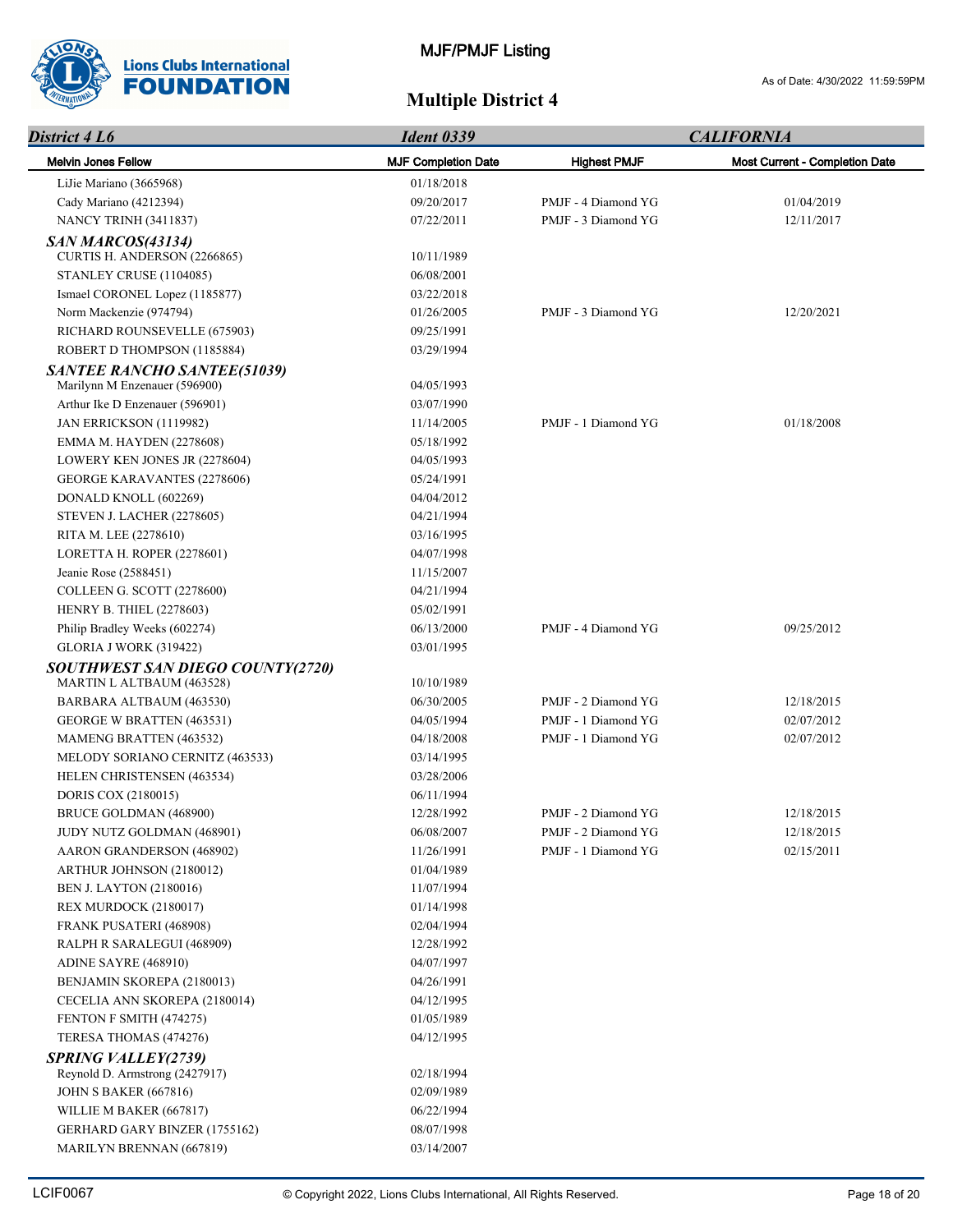

| District 4 L6                                                 | <b>Ident 0339</b>          |                     | <b>CALIFORNIA</b>              |  |
|---------------------------------------------------------------|----------------------------|---------------------|--------------------------------|--|
| <b>Melvin Jones Fellow</b>                                    | <b>MJF Completion Date</b> | <b>Highest PMJF</b> | Most Current - Completion Date |  |
| LiJie Mariano (3665968)                                       | 01/18/2018                 |                     |                                |  |
| Cady Mariano (4212394)                                        | 09/20/2017                 | PMJF - 4 Diamond YG | 01/04/2019                     |  |
| NANCY TRINH (3411837)                                         | 07/22/2011                 | PMJF - 3 Diamond YG | 12/11/2017                     |  |
| SAN MARCOS(43134)                                             |                            |                     |                                |  |
| CURTIS H. ANDERSON (2266865)                                  | 10/11/1989                 |                     |                                |  |
| STANLEY CRUSE (1104085)                                       | 06/08/2001                 |                     |                                |  |
| Ismael CORONEL Lopez (1185877)                                | 03/22/2018                 |                     |                                |  |
| Norm Mackenzie (974794)                                       | 01/26/2005                 | PMJF - 3 Diamond YG | 12/20/2021                     |  |
| RICHARD ROUNSEVELLE (675903)                                  | 09/25/1991                 |                     |                                |  |
| ROBERT D THOMPSON (1185884)                                   | 03/29/1994                 |                     |                                |  |
| <b>SANTEE RANCHO SANTEE(51039)</b>                            |                            |                     |                                |  |
| Marilynn M Enzenauer (596900)                                 | 04/05/1993                 |                     |                                |  |
| Arthur Ike D Enzenauer (596901)                               | 03/07/1990                 |                     |                                |  |
| JAN ERRICKSON (1119982)                                       | 11/14/2005                 | PMJF - 1 Diamond YG | 01/18/2008                     |  |
| EMMA M. HAYDEN (2278608)                                      | 05/18/1992                 |                     |                                |  |
| LOWERY KEN JONES JR (2278604)                                 | 04/05/1993                 |                     |                                |  |
| <b>GEORGE KARAVANTES (2278606)</b>                            | 05/24/1991                 |                     |                                |  |
| DONALD KNOLL (602269)                                         | 04/04/2012                 |                     |                                |  |
| <b>STEVEN J. LACHER (2278605)</b>                             | 04/21/1994                 |                     |                                |  |
| RITA M. LEE (2278610)                                         | 03/16/1995                 |                     |                                |  |
| LORETTA H. ROPER (2278601)                                    | 04/07/1998                 |                     |                                |  |
| Jeanie Rose (2588451)                                         | 11/15/2007                 |                     |                                |  |
| COLLEEN G. SCOTT (2278600)                                    | 04/21/1994                 |                     |                                |  |
| <b>HENRY B. THIEL (2278603)</b>                               | 05/02/1991                 |                     |                                |  |
| Philip Bradley Weeks (602274)                                 | 06/13/2000                 | PMJF - 4 Diamond YG | 09/25/2012                     |  |
| <b>GLORIA J WORK (319422)</b>                                 | 03/01/1995                 |                     |                                |  |
| SOUTHWEST SAN DIEGO COUNTY(2720)<br>MARTIN L ALTBAUM (463528) | 10/10/1989                 |                     |                                |  |
| BARBARA ALTBAUM (463530)                                      | 06/30/2005                 | PMJF - 2 Diamond YG | 12/18/2015                     |  |
| <b>GEORGE W BRATTEN (463531)</b>                              | 04/05/1994                 | PMJF - 1 Diamond YG | 02/07/2012                     |  |
| MAMENG BRATTEN (463532)                                       | 04/18/2008                 | PMJF - 1 Diamond YG | 02/07/2012                     |  |
| MELODY SORIANO CERNITZ (463533)                               | 03/14/1995                 |                     |                                |  |
| HELEN CHRISTENSEN (463534)                                    | 03/28/2006                 |                     |                                |  |
| DORIS COX (2180015)                                           | 06/11/1994                 |                     |                                |  |
| BRUCE GOLDMAN (468900)                                        | 12/28/1992                 | PMJF - 2 Diamond YG | 12/18/2015                     |  |
| JUDY NUTZ GOLDMAN (468901)                                    | 06/08/2007                 | PMJF - 2 Diamond YG | 12/18/2015                     |  |
| AARON GRANDERSON (468902)                                     | 11/26/1991                 | PMJF - 1 Diamond YG | 02/15/2011                     |  |
| ARTHUR JOHNSON (2180012)                                      | 01/04/1989                 |                     |                                |  |
| <b>BEN J. LAYTON (2180016)</b>                                | 11/07/1994                 |                     |                                |  |
| REX MURDOCK (2180017)                                         | 01/14/1998                 |                     |                                |  |
| FRANK PUSATERI (468908)                                       | 02/04/1994                 |                     |                                |  |
| RALPH R SARALEGUI (468909)                                    | 12/28/1992                 |                     |                                |  |
| ADINE SAYRE (468910)                                          | 04/07/1997                 |                     |                                |  |
| BENJAMIN SKOREPA (2180013)                                    | 04/26/1991                 |                     |                                |  |
| CECELIA ANN SKOREPA (2180014)                                 | 04/12/1995                 |                     |                                |  |
| FENTON F SMITH (474275)                                       | 01/05/1989                 |                     |                                |  |
| TERESA THOMAS (474276)                                        | 04/12/1995                 |                     |                                |  |
| <b>SPRING VALLEY(2739)</b>                                    |                            |                     |                                |  |
| Reynold D. Armstrong (2427917)                                | 02/18/1994                 |                     |                                |  |
| <b>JOHN S BAKER (667816)</b>                                  | 02/09/1989                 |                     |                                |  |
| WILLIE M BAKER (667817)                                       | 06/22/1994                 |                     |                                |  |
| GERHARD GARY BINZER (1755162)                                 | 08/07/1998                 |                     |                                |  |
| MARILYN BRENNAN (667819)                                      | 03/14/2007                 |                     |                                |  |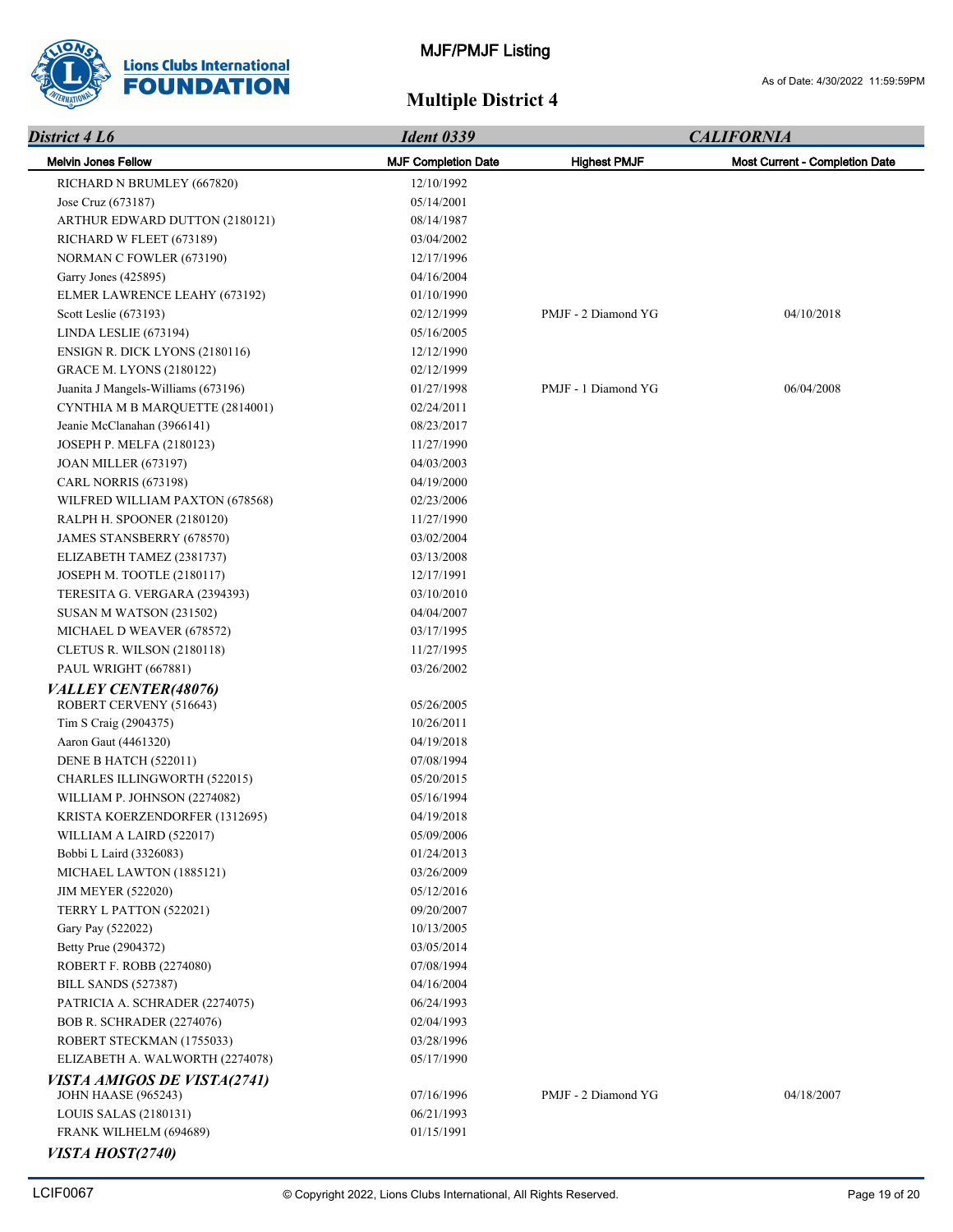

| District 4 L6                                          | <b>Ident 0339</b>          |                     | <b>CALIFORNIA</b>              |
|--------------------------------------------------------|----------------------------|---------------------|--------------------------------|
| <b>Melvin Jones Fellow</b>                             | <b>MJF Completion Date</b> | <b>Highest PMJF</b> | Most Current - Completion Date |
| RICHARD N BRUMLEY (667820)                             | 12/10/1992                 |                     |                                |
| Jose Cruz (673187)                                     | 05/14/2001                 |                     |                                |
| ARTHUR EDWARD DUTTON (2180121)                         | 08/14/1987                 |                     |                                |
| RICHARD W FLEET (673189)                               | 03/04/2002                 |                     |                                |
| NORMAN C FOWLER (673190)                               | 12/17/1996                 |                     |                                |
| Garry Jones (425895)                                   | 04/16/2004                 |                     |                                |
| ELMER LAWRENCE LEAHY (673192)                          | 01/10/1990                 |                     |                                |
| Scott Leslie (673193)                                  | 02/12/1999                 | PMJF - 2 Diamond YG | 04/10/2018                     |
| LINDA LESLIE (673194)                                  | 05/16/2005                 |                     |                                |
| <b>ENSIGN R. DICK LYONS (2180116)</b>                  | 12/12/1990                 |                     |                                |
| <b>GRACE M. LYONS (2180122)</b>                        | 02/12/1999                 |                     |                                |
| Juanita J Mangels-Williams (673196)                    | 01/27/1998                 | PMJF - 1 Diamond YG | 06/04/2008                     |
| CYNTHIA M B MARQUETTE (2814001)                        | 02/24/2011                 |                     |                                |
| Jeanie McClanahan (3966141)                            | 08/23/2017                 |                     |                                |
| JOSEPH P. MELFA (2180123)                              | 11/27/1990                 |                     |                                |
| <b>JOAN MILLER (673197)</b>                            | 04/03/2003                 |                     |                                |
| CARL NORRIS (673198)                                   | 04/19/2000                 |                     |                                |
| WILFRED WILLIAM PAXTON (678568)                        | 02/23/2006                 |                     |                                |
| RALPH H. SPOONER (2180120)                             | 11/27/1990                 |                     |                                |
| JAMES STANSBERRY (678570)                              | 03/02/2004                 |                     |                                |
| ELIZABETH TAMEZ (2381737)                              | 03/13/2008                 |                     |                                |
| JOSEPH M. TOOTLE (2180117)                             | 12/17/1991                 |                     |                                |
| TERESITA G. VERGARA (2394393)                          | 03/10/2010                 |                     |                                |
| SUSAN M WATSON (231502)                                | 04/04/2007                 |                     |                                |
| MICHAEL D WEAVER (678572)                              | 03/17/1995                 |                     |                                |
| CLETUS R. WILSON (2180118)                             | 11/27/1995                 |                     |                                |
| PAUL WRIGHT (667881)                                   | 03/26/2002                 |                     |                                |
| <i>VALLEY CENTER(48076)</i><br>ROBERT CERVENY (516643) | 05/26/2005                 |                     |                                |
| Tim S Craig (2904375)                                  | 10/26/2011                 |                     |                                |
| Aaron Gaut (4461320)                                   | 04/19/2018                 |                     |                                |
| DENE B HATCH (522011)                                  | 07/08/1994                 |                     |                                |
| <b>CHARLES ILLINGWORTH (522015)</b>                    | 05/20/2015                 |                     |                                |
| WILLIAM P. JOHNSON (2274082)                           | 05/16/1994                 |                     |                                |
| KRISTA KOERZENDORFER (1312695)                         | 04/19/2018                 |                     |                                |
| WILLIAM A LAIRD (522017)                               | 05/09/2006                 |                     |                                |
| Bobbi L Laird (3326083)                                | 01/24/2013                 |                     |                                |
| MICHAEL LAWTON (1885121)                               | 03/26/2009                 |                     |                                |
| <b>JIM MEYER (522020)</b>                              | 05/12/2016                 |                     |                                |
| TERRY L PATTON (522021)                                | 09/20/2007                 |                     |                                |
| Gary Pay (522022)                                      | 10/13/2005                 |                     |                                |
| Betty Prue (2904372)                                   | 03/05/2014                 |                     |                                |
| ROBERT F. ROBB (2274080)                               | 07/08/1994                 |                     |                                |
| <b>BILL SANDS (527387)</b>                             | 04/16/2004                 |                     |                                |
| PATRICIA A. SCHRADER (2274075)                         | 06/24/1993                 |                     |                                |
| <b>BOB R. SCHRADER (2274076)</b>                       | 02/04/1993                 |                     |                                |
| ROBERT STECKMAN (1755033)                              | 03/28/1996                 |                     |                                |
| ELIZABETH A. WALWORTH (2274078)                        | 05/17/1990                 |                     |                                |
| <b>VISTA AMIGOS DE VISTA(2741)</b>                     |                            |                     |                                |
| <b>JOHN HAASE (965243)</b>                             | 07/16/1996                 | PMJF - 2 Diamond YG | 04/18/2007                     |
| LOUIS SALAS (2180131)                                  | 06/21/1993                 |                     |                                |
| FRANK WILHELM (694689)                                 | 01/15/1991                 |                     |                                |
| VISTA HOST(2740)                                       |                            |                     |                                |